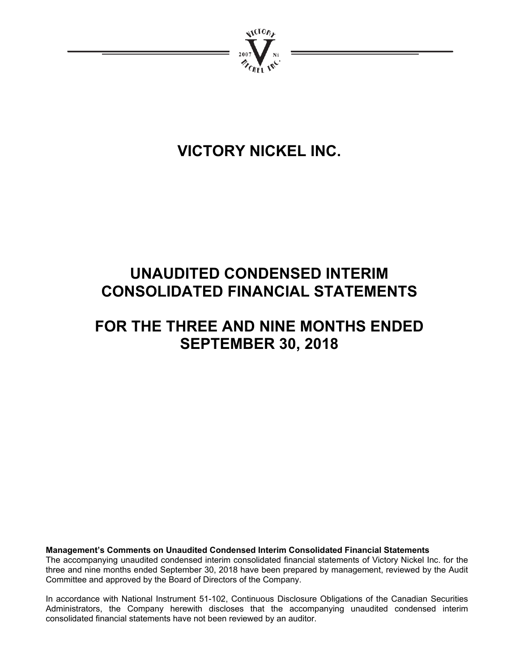

# **VICTORY NICKEL INC.**

# **UNAUDITED CONDENSED INTERIM CONSOLIDATED FINANCIAL STATEMENTS**

# **FOR THE THREE AND NINE MONTHS ENDED SEPTEMBER 30, 2018**

**Management's Comments on Unaudited Condensed Interim Consolidated Financial Statements**  The accompanying unaudited condensed interim consolidated financial statements of Victory Nickel Inc. for the three and nine months ended September 30, 2018 have been prepared by management, reviewed by the Audit Committee and approved by the Board of Directors of the Company.

In accordance with National Instrument 51-102, Continuous Disclosure Obligations of the Canadian Securities Administrators, the Company herewith discloses that the accompanying unaudited condensed interim consolidated financial statements have not been reviewed by an auditor.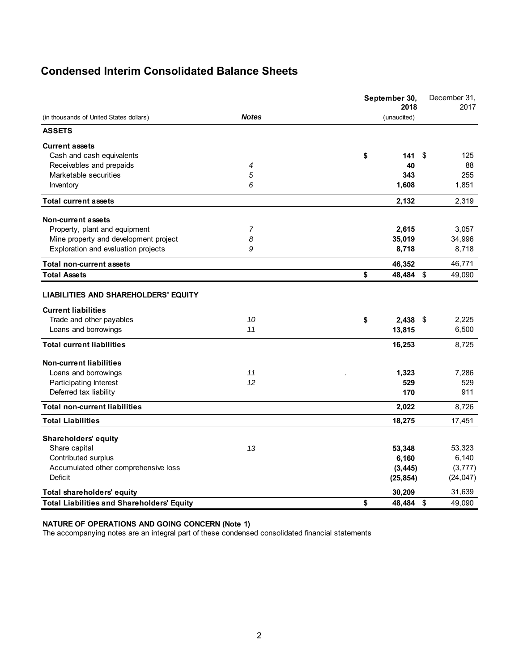# **Condensed Interim Consolidated Balance Sheets**

|                                                                                |                | September 30,<br>2018 | December 31,<br>2017                |
|--------------------------------------------------------------------------------|----------------|-----------------------|-------------------------------------|
| (in thousands of United States dollars)                                        | <b>Notes</b>   | (unaudited)           |                                     |
| <b>ASSETS</b>                                                                  |                |                       |                                     |
| <b>Current assets</b>                                                          |                |                       |                                     |
| Cash and cash equivalents                                                      |                | \$<br>141             | \$<br>125                           |
| Receivables and prepaids                                                       | 4              | 40                    | 88                                  |
| Marketable securities                                                          | 5              | 343                   | 255                                 |
| Inventory                                                                      | 6              | 1,608                 | 1,851                               |
| <b>Total current assets</b>                                                    |                | 2,132                 | 2,319                               |
| Non-current assets                                                             |                |                       |                                     |
| Property, plant and equipment                                                  | $\overline{7}$ | 2,615                 | 3,057                               |
| Mine property and development project                                          | 8              | 35,019                | 34,996                              |
| Exploration and evaluation projects                                            | 9              | 8,718                 | 8,718                               |
| <b>Total non-current assets</b>                                                |                | 46,352                | 46,771                              |
| <b>Total Assets</b>                                                            |                | \$<br>48,484          | \$<br>49,090                        |
| <b>Current liabilities</b><br>Trade and other payables<br>Loans and borrowings | 10<br>11       | \$<br>2,438<br>13,815 | 2,225<br>- \$<br>6,500              |
| <b>Total current liabilities</b>                                               |                | 16,253                | 8,725                               |
| <b>Non-current liabilities</b>                                                 |                |                       |                                     |
| Loans and borrowings                                                           | 11             | 1,323                 | 7,286                               |
| Participating Interest                                                         | 12             | 529                   | 529                                 |
| Deferred tax liability                                                         |                | 170                   | 911                                 |
| <b>Total non-current liabilities</b>                                           |                | 2,022                 | 8,726                               |
| <b>Total Liabilities</b>                                                       |                | 18,275                | 17,451                              |
| <b>Shareholders' equity</b>                                                    |                |                       |                                     |
| Share capital                                                                  | 13             | 53,348                | 53,323                              |
| Contributed surplus                                                            |                | 6,160                 | 6,140                               |
| Accumulated other comprehensive loss                                           |                | (3, 445)              | (3, 777)                            |
| <b>Deficit</b>                                                                 |                | (25, 854)             | (24, 047)                           |
| Total shareholders' equity                                                     |                | 30,209                | 31,639                              |
| <b>Total Liabilities and Shareholders' Equity</b>                              |                | \$<br>48,484          | $\boldsymbol{\mathsf{S}}$<br>49,090 |

#### **NATURE OF OPERATIONS AND GOING CONCERN (Note 1)**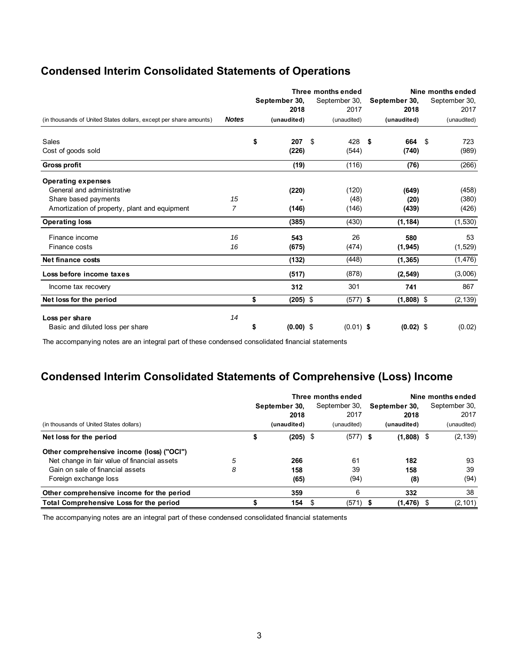# **Condensed Interim Consolidated Statements of Operations**

|                                                                   |              | Three months ended |               |               | Nine months ended |      |               |  |  |
|-------------------------------------------------------------------|--------------|--------------------|---------------|---------------|-------------------|------|---------------|--|--|
|                                                                   |              | September 30,      | September 30, | September 30, |                   |      | September 30, |  |  |
|                                                                   |              | 2018               | 2017          |               | 2018              |      | 2017          |  |  |
| (in thousands of United States dollars, except per share amounts) | <b>Notes</b> | (unaudited)        | (unaudited)   |               | (unaudited)       |      | (unaudited)   |  |  |
| Sales                                                             |              | \$<br>207          | 428<br>\$     | - \$          | 664               | - \$ | 723           |  |  |
| Cost of goods sold                                                |              | (226)              | (544)         |               | (740)             |      | (989)         |  |  |
| <b>Gross profit</b>                                               |              | (19)               | (116)         |               | (76)              |      | (266)         |  |  |
| <b>Operating expenses</b>                                         |              |                    |               |               |                   |      |               |  |  |
| General and administrative                                        |              | (220)              | (120)         |               | (649)             |      | (458)         |  |  |
| Share based payments                                              | 15           |                    | (48)          |               | (20)              |      | (380)         |  |  |
| Amortization of property, plant and equipment                     | 7            | (146)              | (146)         |               | (439)             |      | (426)         |  |  |
| <b>Operating loss</b>                                             |              | (385)              | (430)         |               | (1, 184)          |      | (1, 530)      |  |  |
| Finance income                                                    | 16           | 543                | 26            |               | 580               |      | 53            |  |  |
| Finance costs                                                     | 16           | (675)              | (474)         |               | (1, 945)          |      | (1,529)       |  |  |
| Net finance costs                                                 |              | (132)              | (448)         |               | (1, 365)          |      | (1, 476)      |  |  |
| Loss before income taxes                                          |              | (517)              | (878)         |               | (2, 549)          |      | (3,006)       |  |  |
| Income tax recovery                                               |              | 312                | 301           |               | 741               |      | 867           |  |  |
| Net loss for the period                                           |              | \$<br>$(205)$ \$   | $(577)$ \$    |               | $(1,808)$ \$      |      | (2, 139)      |  |  |
| Loss per share                                                    | 14           |                    |               |               |                   |      |               |  |  |
| Basic and diluted loss per share                                  |              | \$<br>$(0.00)$ \$  | $(0.01)$ \$   |               | $(0.02)$ \$       |      | (0.02)        |  |  |

The accompanying notes are an integral part of these condensed consolidated financial statements

# **Condensed Interim Consolidated Statements of Comprehensive (Loss) Income**

|                                                |   | Three months ended |             |   |               | Nine months ended |               |               |             |
|------------------------------------------------|---|--------------------|-------------|---|---------------|-------------------|---------------|---------------|-------------|
|                                                |   | September 30.      |             |   | September 30, |                   | September 30. | September 30. |             |
|                                                |   |                    | 2018        |   | 2017          |                   | 2018          |               | 2017        |
| (in thousands of United States dollars)        |   |                    | (unaudited) |   | (unaudited)   |                   | (unaudited)   |               | (unaudited) |
| Net loss for the period                        |   | \$                 | $(205)$ \$  |   | $(577)$ \$    |                   | $(1,808)$ \$  |               | (2, 139)    |
| Other comprehensive income (loss) ("OCI")      |   |                    |             |   |               |                   |               |               |             |
| Net change in fair value of financial assets   | 5 |                    | 266         |   | 61            |                   | 182           |               | 93          |
| Gain on sale of financial assets               | 8 |                    | 158         |   | 39            |                   | 158           |               | 39          |
| Foreign exchange loss                          |   |                    | (65)        |   | (94)          |                   | (8)           |               | (94)        |
| Other comprehensive income for the period      |   |                    | 359         |   | 6             |                   | 332           |               | 38          |
| <b>Total Comprehensive Loss for the period</b> |   |                    | 154         | S | $(571)$ \$    |                   | (1, 476)      | S.            | (2, 101)    |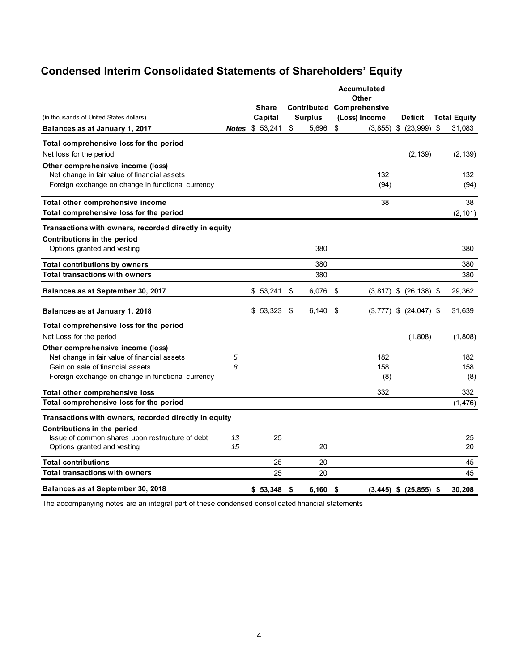# **Condensed Interim Consolidated Statements of Shareholders' Equity**

|                                                       |    |                        |                | <b>Accumulated</b><br>Other      |                            |                     |
|-------------------------------------------------------|----|------------------------|----------------|----------------------------------|----------------------------|---------------------|
|                                                       |    | <b>Share</b>           |                | <b>Contributed Comprehensive</b> |                            |                     |
| (in thousands of United States dollars)               |    | Capital                | <b>Surplus</b> | (Loss) Income                    | <b>Deficit</b>             | <b>Total Equity</b> |
| Balances as at January 1, 2017                        |    | <b>Notes \$ 53,241</b> | \$<br>5,696    | \$                               | $(3,855)$ \$ $(23,999)$    | \$<br>31,083        |
| Total comprehensive loss for the period               |    |                        |                |                                  |                            |                     |
| Net loss for the period                               |    |                        |                |                                  | (2, 139)                   | (2, 139)            |
| Other comprehensive income (loss)                     |    |                        |                |                                  |                            |                     |
| Net change in fair value of financial assets          |    |                        |                | 132                              |                            | 132                 |
| Foreign exchange on change in functional currency     |    |                        |                | (94)                             |                            | (94)                |
| Total other comprehensive income                      |    |                        |                | 38                               |                            | 38                  |
| Total comprehensive loss for the period               |    |                        |                |                                  |                            | (2, 101)            |
| Transactions with owners, recorded directly in equity |    |                        |                |                                  |                            |                     |
| Contributions in the period                           |    |                        |                |                                  |                            |                     |
| Options granted and vesting                           |    |                        | 380            |                                  |                            | 380                 |
| <b>Total contributions by owners</b>                  |    |                        | 380            |                                  |                            | 380                 |
| <b>Total transactions with owners</b>                 |    |                        | 380            |                                  |                            | 380                 |
| Balances as at September 30, 2017                     |    | \$53,241               | \$<br>6,076    | \$                               | $(3,817)$ \$ $(26,138)$ \$ | 29,362              |
| Balances as at January 1, 2018                        |    | \$53,323               | \$<br>6,140    | \$<br>(3, 777)                   | \$<br>$(24, 047)$ \$       | 31,639              |
| Total comprehensive loss for the period               |    |                        |                |                                  |                            |                     |
| Net Loss for the period                               |    |                        |                |                                  | (1,808)                    | (1,808)             |
| Other comprehensive income (loss)                     |    |                        |                |                                  |                            |                     |
| Net change in fair value of financial assets          | 5  |                        |                | 182                              |                            | 182                 |
| Gain on sale of financial assets                      | 8  |                        |                | 158                              |                            | 158                 |
| Foreign exchange on change in functional currency     |    |                        |                | (8)                              |                            | (8)                 |
| Total other comprehensive loss                        |    |                        |                | 332                              |                            | 332                 |
| Total comprehensive loss for the period               |    |                        |                |                                  |                            | (1, 476)            |
| Transactions with owners, recorded directly in equity |    |                        |                |                                  |                            |                     |
| Contributions in the period                           |    |                        |                |                                  |                            |                     |
| Issue of common shares upon restructure of debt       | 13 | 25                     |                |                                  |                            | 25                  |
| Options granted and vesting                           | 15 |                        | 20             |                                  |                            | 20                  |
| <b>Total contributions</b>                            |    | 25                     | 20             |                                  |                            | 45                  |
| <b>Total transactions with owners</b>                 |    | 25                     | 20             |                                  |                            | 45                  |
| Balances as at September 30, 2018                     |    | \$53,348               | \$<br>6,160    | \$                               | $(3,445)$ \$ $(25,855)$ \$ | 30,208              |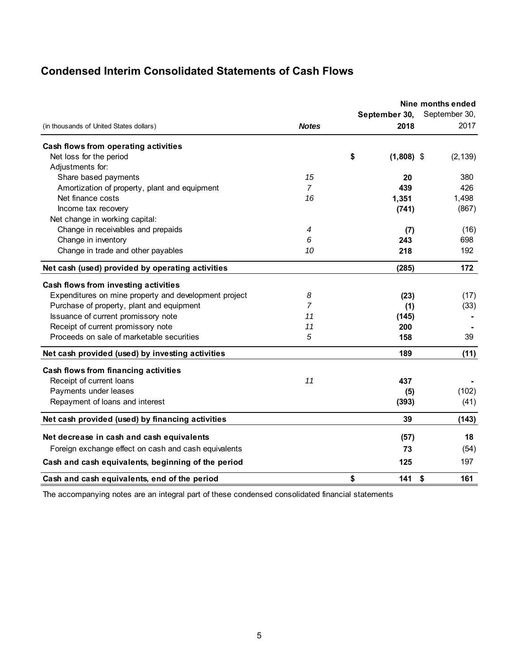# **Condensed Interim Consolidated Statements of Cash Flows**

|                                                       |                |                       | Nine months ended     |  |
|-------------------------------------------------------|----------------|-----------------------|-----------------------|--|
| (in thousands of United States dollars)               | <b>Notes</b>   | September 30,<br>2018 | September 30,<br>2017 |  |
| Cash flows from operating activities                  |                |                       |                       |  |
| Net loss for the period                               |                | \$<br>$(1,808)$ \$    | (2, 139)              |  |
| Adjustments for:                                      |                |                       |                       |  |
| Share based payments                                  | 15             | 20                    | 380                   |  |
| Amortization of property, plant and equipment         | $\overline{7}$ | 439                   | 426                   |  |
| Net finance costs                                     | 16             | 1,351                 | 1,498                 |  |
| Income tax recovery                                   |                | (741)                 | (867)                 |  |
| Net change in working capital:                        |                |                       |                       |  |
| Change in receivables and prepaids                    | 4              | (7)                   | (16)                  |  |
| Change in inventory                                   | 6              | 243                   | 698                   |  |
| Change in trade and other payables                    | 10             | 218                   | 192                   |  |
| Net cash (used) provided by operating activities      |                | (285)                 | 172                   |  |
| Cash flows from investing activities                  |                |                       |                       |  |
| Expenditures on mine property and development project | 8              | (23)                  | (17)                  |  |
| Purchase of property, plant and equipment             | 7              | (1)                   | (33)                  |  |
| Issuance of current promissory note                   | 11             | (145)                 |                       |  |
| Receipt of current promissory note                    | 11             | 200                   |                       |  |
| Proceeds on sale of marketable securities             | 5              | 158                   | 39                    |  |
| Net cash provided (used) by investing activities      |                | 189                   | (11)                  |  |
| Cash flows from financing activities                  |                |                       |                       |  |
| Receipt of current loans                              | 11             | 437                   |                       |  |
| Payments under leases                                 |                | (5)                   | (102)                 |  |
| Repayment of loans and interest                       |                | (393)                 | (41)                  |  |
| Net cash provided (used) by financing activities      |                | 39                    | (143)                 |  |
| Net decrease in cash and cash equivalents             |                | (57)                  | 18                    |  |
| Foreign exchange effect on cash and cash equivalents  |                | 73                    | (54)                  |  |
| Cash and cash equivalents, beginning of the period    |                | 125                   | 197                   |  |
| Cash and cash equivalents, end of the period          |                | \$<br>141             | \$<br>161             |  |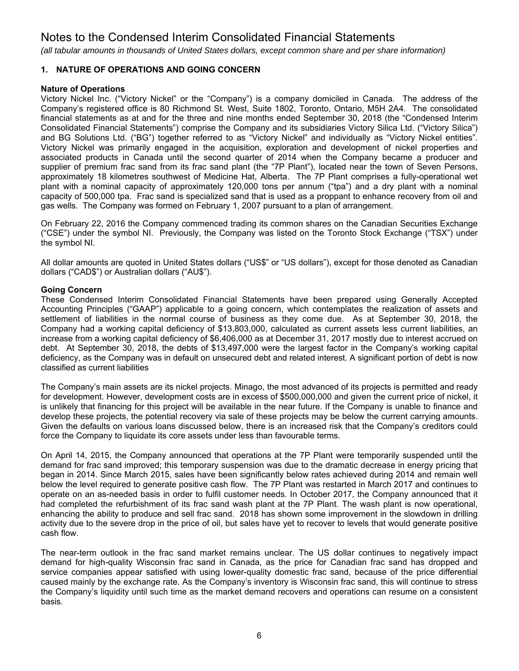*(all tabular amounts in thousands of United States dollars, except common share and per share information)*

## **1. NATURE OF OPERATIONS AND GOING CONCERN**

#### **Nature of Operations**

Victory Nickel Inc. ("Victory Nickel" or the "Company") is a company domiciled in Canada. The address of the Company's registered office is 80 Richmond St. West, Suite 1802, Toronto, Ontario, M5H 2A4. The consolidated financial statements as at and for the three and nine months ended September 30, 2018 (the "Condensed Interim Consolidated Financial Statements") comprise the Company and its subsidiaries Victory Silica Ltd. ("Victory Silica") and BG Solutions Ltd. ("BG") together referred to as "Victory Nickel" and individually as "Victory Nickel entities". Victory Nickel was primarily engaged in the acquisition, exploration and development of nickel properties and associated products in Canada until the second quarter of 2014 when the Company became a producer and supplier of premium frac sand from its frac sand plant (the "7P Plant"), located near the town of Seven Persons, approximately 18 kilometres southwest of Medicine Hat, Alberta. The 7P Plant comprises a fully-operational wet plant with a nominal capacity of approximately 120,000 tons per annum ("tpa") and a dry plant with a nominal capacity of 500,000 tpa. Frac sand is specialized sand that is used as a proppant to enhance recovery from oil and gas wells. The Company was formed on February 1, 2007 pursuant to a plan of arrangement.

On February 22, 2016 the Company commenced trading its common shares on the Canadian Securities Exchange ("CSE") under the symbol NI. Previously, the Company was listed on the Toronto Stock Exchange ("TSX") under the symbol NI.

All dollar amounts are quoted in United States dollars ("US\$" or "US dollars"), except for those denoted as Canadian dollars ("CAD\$") or Australian dollars ("AU\$").

#### **Going Concern**

These Condensed Interim Consolidated Financial Statements have been prepared using Generally Accepted Accounting Principles ("GAAP") applicable to a going concern, which contemplates the realization of assets and settlement of liabilities in the normal course of business as they come due. As at September 30, 2018, the Company had a working capital deficiency of \$13,803,000, calculated as current assets less current liabilities, an increase from a working capital deficiency of \$6,406,000 as at December 31, 2017 mostly due to interest accrued on debt. At September 30, 2018, the debts of \$13,497,000 were the largest factor in the Company's working capital deficiency, as the Company was in default on unsecured debt and related interest. A significant portion of debt is now classified as current liabilities

The Company's main assets are its nickel projects. Minago, the most advanced of its projects is permitted and ready for development. However, development costs are in excess of \$500,000,000 and given the current price of nickel, it is unlikely that financing for this project will be available in the near future. If the Company is unable to finance and develop these projects, the potential recovery via sale of these projects may be below the current carrying amounts. Given the defaults on various loans discussed below, there is an increased risk that the Company's creditors could force the Company to liquidate its core assets under less than favourable terms.

On April 14, 2015, the Company announced that operations at the 7P Plant were temporarily suspended until the demand for frac sand improved; this temporary suspension was due to the dramatic decrease in energy pricing that began in 2014. Since March 2015, sales have been significantly below rates achieved during 2014 and remain well below the level required to generate positive cash flow. The 7P Plant was restarted in March 2017 and continues to operate on an as-needed basis in order to fulfil customer needs. In October 2017, the Company announced that it had completed the refurbishment of its frac sand wash plant at the 7P Plant. The wash plant is now operational, enhancing the ability to produce and sell frac sand. 2018 has shown some improvement in the slowdown in drilling activity due to the severe drop in the price of oil, but sales have yet to recover to levels that would generate positive cash flow.

The near-term outlook in the frac sand market remains unclear. The US dollar continues to negatively impact demand for high-quality Wisconsin frac sand in Canada, as the price for Canadian frac sand has dropped and service companies appear satisfied with using lower-quality domestic frac sand, because of the price differential caused mainly by the exchange rate. As the Company's inventory is Wisconsin frac sand, this will continue to stress the Company's liquidity until such time as the market demand recovers and operations can resume on a consistent basis.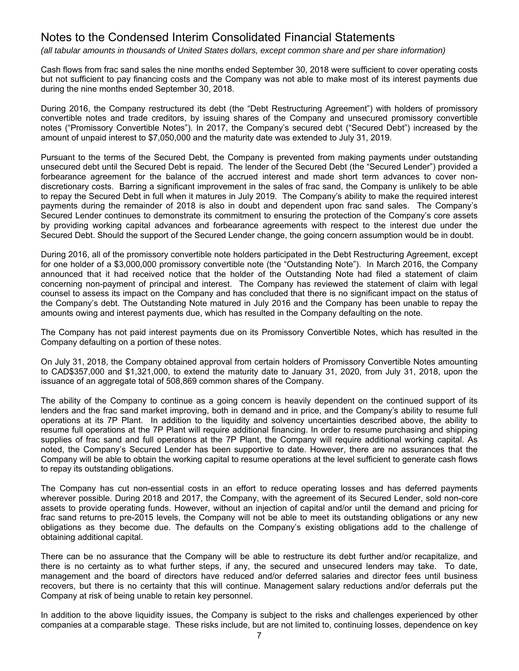*(all tabular amounts in thousands of United States dollars, except common share and per share information)*

Cash flows from frac sand sales the nine months ended September 30, 2018 were sufficient to cover operating costs but not sufficient to pay financing costs and the Company was not able to make most of its interest payments due during the nine months ended September 30, 2018.

During 2016, the Company restructured its debt (the "Debt Restructuring Agreement") with holders of promissory convertible notes and trade creditors, by issuing shares of the Company and unsecured promissory convertible notes ("Promissory Convertible Notes"). In 2017, the Company's secured debt ("Secured Debt") increased by the amount of unpaid interest to \$7,050,000 and the maturity date was extended to July 31, 2019.

Pursuant to the terms of the Secured Debt, the Company is prevented from making payments under outstanding unsecured debt until the Secured Debt is repaid. The lender of the Secured Debt (the "Secured Lender") provided a forbearance agreement for the balance of the accrued interest and made short term advances to cover nondiscretionary costs. Barring a significant improvement in the sales of frac sand, the Company is unlikely to be able to repay the Secured Debt in full when it matures in July 2019. The Company's ability to make the required interest payments during the remainder of 2018 is also in doubt and dependent upon frac sand sales. The Company's Secured Lender continues to demonstrate its commitment to ensuring the protection of the Company's core assets by providing working capital advances and forbearance agreements with respect to the interest due under the Secured Debt. Should the support of the Secured Lender change, the going concern assumption would be in doubt.

During 2016, all of the promissory convertible note holders participated in the Debt Restructuring Agreement, except for one holder of a \$3,000,000 promissory convertible note (the "Outstanding Note"). In March 2016, the Company announced that it had received notice that the holder of the Outstanding Note had filed a statement of claim concerning non-payment of principal and interest. The Company has reviewed the statement of claim with legal counsel to assess its impact on the Company and has concluded that there is no significant impact on the status of the Company's debt. The Outstanding Note matured in July 2016 and the Company has been unable to repay the amounts owing and interest payments due, which has resulted in the Company defaulting on the note.

The Company has not paid interest payments due on its Promissory Convertible Notes, which has resulted in the Company defaulting on a portion of these notes.

On July 31, 2018, the Company obtained approval from certain holders of Promissory Convertible Notes amounting to CAD\$357,000 and \$1,321,000, to extend the maturity date to January 31, 2020, from July 31, 2018, upon the issuance of an aggregate total of 508,869 common shares of the Company.

The ability of the Company to continue as a going concern is heavily dependent on the continued support of its lenders and the frac sand market improving, both in demand and in price, and the Company's ability to resume full operations at its 7P Plant. In addition to the liquidity and solvency uncertainties described above, the ability to resume full operations at the 7P Plant will require additional financing. In order to resume purchasing and shipping supplies of frac sand and full operations at the 7P Plant, the Company will require additional working capital. As noted, the Company's Secured Lender has been supportive to date. However, there are no assurances that the Company will be able to obtain the working capital to resume operations at the level sufficient to generate cash flows to repay its outstanding obligations.

The Company has cut non-essential costs in an effort to reduce operating losses and has deferred payments wherever possible. During 2018 and 2017, the Company, with the agreement of its Secured Lender, sold non-core assets to provide operating funds. However, without an injection of capital and/or until the demand and pricing for frac sand returns to pre-2015 levels, the Company will not be able to meet its outstanding obligations or any new obligations as they become due. The defaults on the Company's existing obligations add to the challenge of obtaining additional capital.

There can be no assurance that the Company will be able to restructure its debt further and/or recapitalize, and there is no certainty as to what further steps, if any, the secured and unsecured lenders may take. To date, management and the board of directors have reduced and/or deferred salaries and director fees until business recovers, but there is no certainty that this will continue. Management salary reductions and/or deferrals put the Company at risk of being unable to retain key personnel.

In addition to the above liquidity issues, the Company is subject to the risks and challenges experienced by other companies at a comparable stage. These risks include, but are not limited to, continuing losses, dependence on key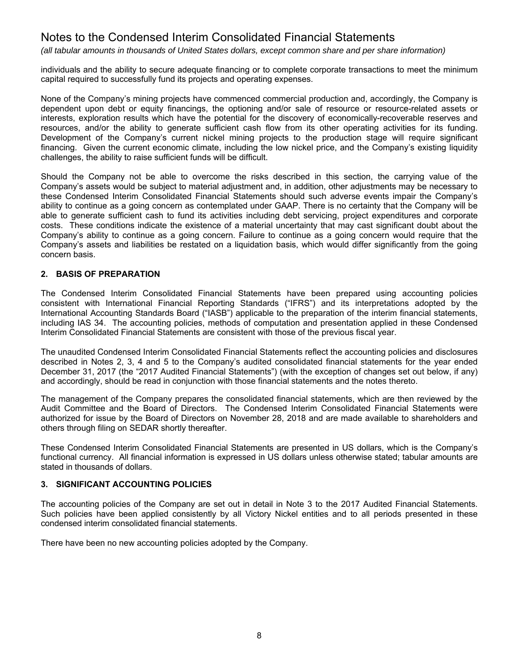*(all tabular amounts in thousands of United States dollars, except common share and per share information)*

individuals and the ability to secure adequate financing or to complete corporate transactions to meet the minimum capital required to successfully fund its projects and operating expenses.

None of the Company's mining projects have commenced commercial production and, accordingly, the Company is dependent upon debt or equity financings, the optioning and/or sale of resource or resource-related assets or interests, exploration results which have the potential for the discovery of economically-recoverable reserves and resources, and/or the ability to generate sufficient cash flow from its other operating activities for its funding. Development of the Company's current nickel mining projects to the production stage will require significant financing. Given the current economic climate, including the low nickel price, and the Company's existing liquidity challenges, the ability to raise sufficient funds will be difficult.

Should the Company not be able to overcome the risks described in this section, the carrying value of the Company's assets would be subject to material adjustment and, in addition, other adjustments may be necessary to these Condensed Interim Consolidated Financial Statements should such adverse events impair the Company's ability to continue as a going concern as contemplated under GAAP. There is no certainty that the Company will be able to generate sufficient cash to fund its activities including debt servicing, project expenditures and corporate costs. These conditions indicate the existence of a material uncertainty that may cast significant doubt about the Company's ability to continue as a going concern. Failure to continue as a going concern would require that the Company's assets and liabilities be restated on a liquidation basis, which would differ significantly from the going concern basis.

### **2. BASIS OF PREPARATION**

The Condensed Interim Consolidated Financial Statements have been prepared using accounting policies consistent with International Financial Reporting Standards ("IFRS") and its interpretations adopted by the International Accounting Standards Board ("IASB") applicable to the preparation of the interim financial statements, including IAS 34. The accounting policies, methods of computation and presentation applied in these Condensed Interim Consolidated Financial Statements are consistent with those of the previous fiscal year.

The unaudited Condensed Interim Consolidated Financial Statements reflect the accounting policies and disclosures described in Notes 2, 3, 4 and 5 to the Company's audited consolidated financial statements for the year ended December 31, 2017 (the "2017 Audited Financial Statements") (with the exception of changes set out below, if any) and accordingly, should be read in conjunction with those financial statements and the notes thereto.

The management of the Company prepares the consolidated financial statements, which are then reviewed by the Audit Committee and the Board of Directors. The Condensed Interim Consolidated Financial Statements were authorized for issue by the Board of Directors on November 28, 2018 and are made available to shareholders and others through filing on SEDAR shortly thereafter.

These Condensed Interim Consolidated Financial Statements are presented in US dollars, which is the Company's functional currency. All financial information is expressed in US dollars unless otherwise stated; tabular amounts are stated in thousands of dollars.

#### **3. SIGNIFICANT ACCOUNTING POLICIES**

The accounting policies of the Company are set out in detail in Note 3 to the 2017 Audited Financial Statements. Such policies have been applied consistently by all Victory Nickel entities and to all periods presented in these condensed interim consolidated financial statements.

There have been no new accounting policies adopted by the Company.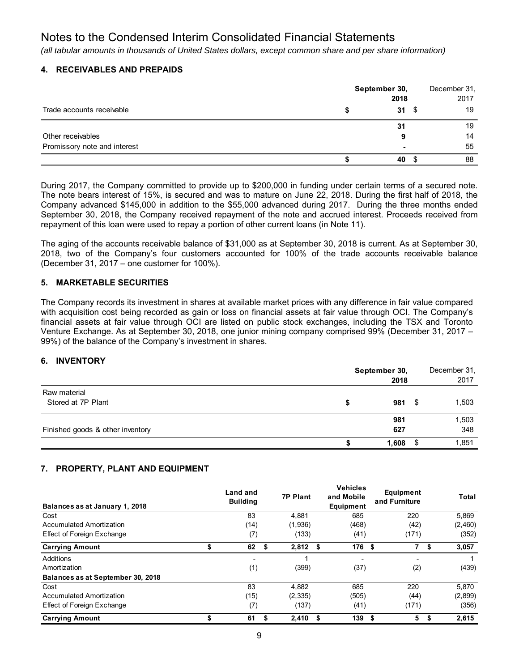*(all tabular amounts in thousands of United States dollars, except common share and per share information)*

### **4. RECEIVABLES AND PREPAIDS**

|                              | September 30,<br>2018    |  |    |  |  |  |
|------------------------------|--------------------------|--|----|--|--|--|
| Trade accounts receivable    | 31S                      |  | 19 |  |  |  |
|                              | 31                       |  | 19 |  |  |  |
| Other receivables            |                          |  | 14 |  |  |  |
| Promissory note and interest | $\overline{\phantom{0}}$ |  | 55 |  |  |  |
|                              | 40                       |  | 88 |  |  |  |

During 2017, the Company committed to provide up to \$200,000 in funding under certain terms of a secured note. The note bears interest of 15%, is secured and was to mature on June 22, 2018. During the first half of 2018, the Company advanced \$145,000 in addition to the \$55,000 advanced during 2017. During the three months ended September 30, 2018, the Company received repayment of the note and accrued interest. Proceeds received from repayment of this loan were used to repay a portion of other current loans (in Note 11).

The aging of the accounts receivable balance of \$31,000 as at September 30, 2018 is current. As at September 30, 2018, two of the Company's four customers accounted for 100% of the trade accounts receivable balance (December 31, 2017 – one customer for 100%).

### **5. MARKETABLE SECURITIES**

The Company records its investment in shares at available market prices with any difference in fair value compared with acquisition cost being recorded as gain or loss on financial assets at fair value through OCI. The Company's financial assets at fair value through OCI are listed on public stock exchanges, including the TSX and Toronto Venture Exchange. As at September 30, 2018, one junior mining company comprised 99% (December 31, 2017 – 99%) of the balance of the Company's investment in shares.

#### **6. INVENTORY**

|                                    | September 30,<br>2018 |      | December 31,<br>2017 |
|------------------------------------|-----------------------|------|----------------------|
| Raw material<br>Stored at 7P Plant | 981                   | - \$ | 1,503                |
| Finished goods & other inventory   | 981<br>627            |      | 1,503<br>348         |
|                                    | 1,608                 |      | 1,851                |

## **7. PROPERTY, PLANT AND EQUIPMENT**

| Balances as at January 1, 2018    | Land and<br><b>Building</b> |    | <b>7P Plant</b> |      | <b>Vehicles</b><br>and Mobile<br>Equipment |      | Equipment<br>and Furniture |    | Total   |
|-----------------------------------|-----------------------------|----|-----------------|------|--------------------------------------------|------|----------------------------|----|---------|
| Cost                              | 83                          |    | 4.881           |      | 685                                        |      | 220                        |    | 5,869   |
| Accumulated Amortization          | (14)                        |    | (1,936)         |      | (468)                                      |      | (42)                       |    | (2,460) |
| Effect of Foreign Exchange        | (7)                         |    | (133)           |      | (41)                                       |      | (171)                      |    | (352)   |
| <b>Carrying Amount</b>            | \$<br>62                    | \$ | 2,812           | - \$ | 176 \$                                     |      | 7                          | \$ | 3,057   |
| Additions                         | -                           |    |                 |      |                                            |      | $\overline{\phantom{0}}$   |    |         |
| Amortization                      | (1)                         |    | (399)           |      | (37)                                       |      | (2)                        |    | (439)   |
| Balances as at September 30, 2018 |                             |    |                 |      |                                            |      |                            |    |         |
| Cost                              | 83                          |    | 4,882           |      | 685                                        |      | 220                        |    | 5,870   |
| Accumulated Amortization          | (15)                        |    | (2, 335)        |      | (505)                                      |      | (44)                       |    | (2,899) |
| Effect of Foreign Exchange        | (7)                         |    | (137)           |      | (41)                                       |      | (171)                      |    | (356)   |
| <b>Carrying Amount</b>            | \$<br>61                    | S. | 2,410           | \$   | 139                                        | - \$ | 5                          | S  | 2,615   |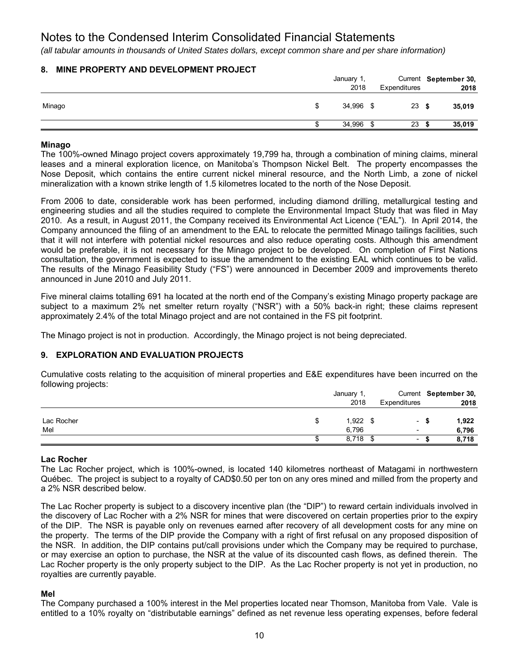*(all tabular amounts in thousands of United States dollars, except common share and per share information)*

## **8. MINE PROPERTY AND DEVELOPMENT PROJECT**

|        | January 1, |  |              | Current September 30, |
|--------|------------|--|--------------|-----------------------|
|        | 2018       |  | Expenditures | 2018                  |
| Minago | 34,996 \$  |  | 23S          | 35,019                |
|        | 34,996 \$  |  | 23           | 35,019                |

### **Minago**

The 100%-owned Minago project covers approximately 19,799 ha, through a combination of mining claims, mineral leases and a mineral exploration licence, on Manitoba's Thompson Nickel Belt. The property encompasses the Nose Deposit, which contains the entire current nickel mineral resource, and the North Limb, a zone of nickel mineralization with a known strike length of 1.5 kilometres located to the north of the Nose Deposit.

From 2006 to date, considerable work has been performed, including diamond drilling, metallurgical testing and engineering studies and all the studies required to complete the Environmental Impact Study that was filed in May 2010. As a result, in August 2011, the Company received its Environmental Act Licence ("EAL"). In April 2014, the Company announced the filing of an amendment to the EAL to relocate the permitted Minago tailings facilities, such that it will not interfere with potential nickel resources and also reduce operating costs. Although this amendment would be preferable, it is not necessary for the Minago project to be developed. On completion of First Nations consultation, the government is expected to issue the amendment to the existing EAL which continues to be valid. The results of the Minago Feasibility Study ("FS") were announced in December 2009 and improvements thereto announced in June 2010 and July 2011.

Five mineral claims totalling 691 ha located at the north end of the Company's existing Minago property package are subject to a maximum 2% net smelter return royalty ("NSR") with a 50% back-in right; these claims represent approximately 2.4% of the total Minago project and are not contained in the FS pit footprint.

The Minago project is not in production. Accordingly, the Minago project is not being depreciated.

## **9. EXPLORATION AND EVALUATION PROJECTS**

Cumulative costs relating to the acquisition of mineral properties and E&E expenditures have been incurred on the following projects:

| - - -      | January 1  |                                  | Current September 30, |  |
|------------|------------|----------------------------------|-----------------------|--|
|            | 2018       | <b>Expenditures</b>              | 2018                  |  |
|            |            |                                  |                       |  |
| Lac Rocher | $1,922$ \$ | $\overline{\phantom{a}}$         | 1,922<br>£.           |  |
| Mel        | 6,796      | $\overline{\phantom{a}}$         | 6,796                 |  |
|            | 8,718      | - \$<br>$\overline{\phantom{a}}$ | 8,718                 |  |

## **Lac Rocher**

The Lac Rocher project, which is 100%-owned, is located 140 kilometres northeast of Matagami in northwestern Québec. The project is subject to a royalty of CAD\$0.50 per ton on any ores mined and milled from the property and a 2% NSR described below.

The Lac Rocher property is subject to a discovery incentive plan (the "DIP") to reward certain individuals involved in the discovery of Lac Rocher with a 2% NSR for mines that were discovered on certain properties prior to the expiry of the DIP. The NSR is payable only on revenues earned after recovery of all development costs for any mine on the property. The terms of the DIP provide the Company with a right of first refusal on any proposed disposition of the NSR. In addition, the DIP contains put/call provisions under which the Company may be required to purchase, or may exercise an option to purchase, the NSR at the value of its discounted cash flows, as defined therein. The Lac Rocher property is the only property subject to the DIP. As the Lac Rocher property is not yet in production, no royalties are currently payable.

## **Mel**

The Company purchased a 100% interest in the Mel properties located near Thomson, Manitoba from Vale. Vale is entitled to a 10% royalty on "distributable earnings" defined as net revenue less operating expenses, before federal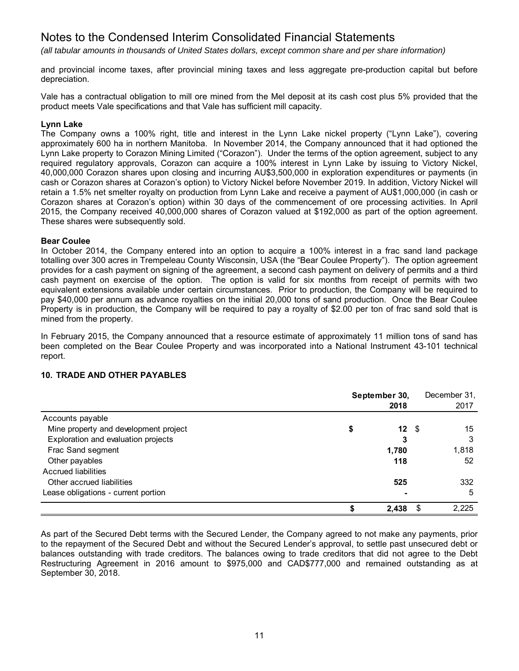*(all tabular amounts in thousands of United States dollars, except common share and per share information)*

and provincial income taxes, after provincial mining taxes and less aggregate pre-production capital but before depreciation.

Vale has a contractual obligation to mill ore mined from the Mel deposit at its cash cost plus 5% provided that the product meets Vale specifications and that Vale has sufficient mill capacity.

#### **Lynn Lake**

The Company owns a 100% right, title and interest in the Lynn Lake nickel property ("Lynn Lake"), covering approximately 600 ha in northern Manitoba. In November 2014, the Company announced that it had optioned the Lynn Lake property to Corazon Mining Limited ("Corazon"). Under the terms of the option agreement, subject to any required regulatory approvals, Corazon can acquire a 100% interest in Lynn Lake by issuing to Victory Nickel, 40,000,000 Corazon shares upon closing and incurring AU\$3,500,000 in exploration expenditures or payments (in cash or Corazon shares at Corazon's option) to Victory Nickel before November 2019. In addition, Victory Nickel will retain a 1.5% net smelter royalty on production from Lynn Lake and receive a payment of AU\$1,000,000 (in cash or Corazon shares at Corazon's option) within 30 days of the commencement of ore processing activities. In April 2015, the Company received 40,000,000 shares of Corazon valued at \$192,000 as part of the option agreement. These shares were subsequently sold.

#### **Bear Coulee**

In October 2014, the Company entered into an option to acquire a 100% interest in a frac sand land package totalling over 300 acres in Trempeleau County Wisconsin, USA (the "Bear Coulee Property"). The option agreement provides for a cash payment on signing of the agreement, a second cash payment on delivery of permits and a third cash payment on exercise of the option. The option is valid for six months from receipt of permits with two equivalent extensions available under certain circumstances. Prior to production, the Company will be required to pay \$40,000 per annum as advance royalties on the initial 20,000 tons of sand production. Once the Bear Coulee Property is in production, the Company will be required to pay a royalty of \$2.00 per ton of frac sand sold that is mined from the property.

In February 2015, the Company announced that a resource estimate of approximately 11 million tons of sand has been completed on the Bear Coulee Property and was incorporated into a National Instrument 43-101 technical report.

#### **10. TRADE AND OTHER PAYABLES**

|                                       | September 30,<br>2018 |       |            | December 31,<br>2017 |
|---------------------------------------|-----------------------|-------|------------|----------------------|
| Accounts payable                      |                       |       |            |                      |
| Mine property and development project | \$                    |       | $12 \quad$ | 15                   |
| Exploration and evaluation projects   |                       | 3     |            | 3                    |
| Frac Sand segment                     |                       | 1,780 |            | 1,818                |
| Other payables                        |                       | 118   |            | 52                   |
| Accrued liabilities                   |                       |       |            |                      |
| Other accrued liabilities             |                       | 525   |            | 332                  |
| Lease obligations - current portion   |                       |       |            | 5                    |
|                                       |                       | 2,438 | \$.        | 2,225                |

As part of the Secured Debt terms with the Secured Lender, the Company agreed to not make any payments, prior to the repayment of the Secured Debt and without the Secured Lender's approval, to settle past unsecured debt or balances outstanding with trade creditors. The balances owing to trade creditors that did not agree to the Debt Restructuring Agreement in 2016 amount to \$975,000 and CAD\$777,000 and remained outstanding as at September 30, 2018.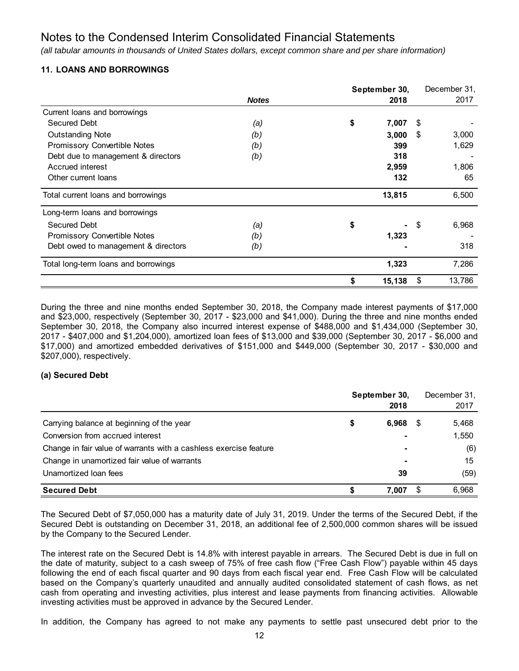*(all tabular amounts in thousands of United States dollars, except common share and per share information)*

## **11. LOANS AND BORROWINGS**

|                                      |              | September 30, |    | December 31, |
|--------------------------------------|--------------|---------------|----|--------------|
|                                      | <b>Notes</b> | 2018          |    | 2017         |
| Current loans and borrowings         |              |               |    |              |
| Secured Debt                         | (a)          | \$<br>7,007   | \$ |              |
| <b>Outstanding Note</b>              | (b)          | 3,000         | S  | 3,000        |
| Promissory Convertible Notes         | (b)          | 399           |    | 1,629        |
| Debt due to management & directors   | (b)          | 318           |    |              |
| Accrued interest                     |              | 2,959         |    | 1,806        |
| Other current loans                  |              | 132           |    | 65           |
| Total current loans and borrowings   |              | 13,815        |    | 6,500        |
| Long-term loans and borrowings       |              |               |    |              |
| <b>Secured Debt</b>                  | (a)          | \$            | S  | 6,968        |
| Promissory Convertible Notes         | (b)          | 1,323         |    |              |
| Debt owed to management & directors  | (b)          |               |    | 318          |
| Total long-term loans and borrowings |              | 1,323         |    | 7,286        |
|                                      |              | 15,138        | \$ | 13,786       |

During the three and nine months ended September 30, 2018, the Company made interest payments of \$17,000 and \$23,000, respectively (September 30, 2017 - \$23,000 and \$41,000). During the three and nine months ended September 30, 2018, the Company also incurred interest expense of \$488,000 and \$1,434,000 (September 30, 2017 - \$407,000 and \$1,204,000), amortized loan fees of \$13,000 and \$39,000 (September 30, 2017 - \$6,000 and \$17,000) and amortized embedded derivatives of \$151,000 and \$449,000 (September 30, 2017 - \$30,000 and \$207,000), respectively.

## **(a) Secured Debt**

|                                                                   | September 30, |                | December 31, |       |
|-------------------------------------------------------------------|---------------|----------------|--------------|-------|
|                                                                   |               | 2018           |              | 2017  |
| Carrying balance at beginning of the year                         | S             | 6.968          | \$           | 5,468 |
| Conversion from accrued interest                                  |               |                |              | 1,550 |
| Change in fair value of warrants with a cashless exercise feature |               | $\blacksquare$ |              | (6)   |
| Change in unamortized fair value of warrants                      |               | $\blacksquare$ |              | 15    |
| Unamortized loan fees                                             |               | 39             |              | (59)  |
| <b>Secured Debt</b>                                               |               | 7.007          | S            | 6.968 |

The Secured Debt of \$7,050,000 has a maturity date of July 31, 2019. Under the terms of the Secured Debt, if the Secured Debt is outstanding on December 31, 2018, an additional fee of 2,500,000 common shares will be issued by the Company to the Secured Lender.

The interest rate on the Secured Debt is 14.8% with interest payable in arrears. The Secured Debt is due in full on the date of maturity, subject to a cash sweep of 75% of free cash flow ("Free Cash Flow") payable within 45 days following the end of each fiscal quarter and 90 days from each fiscal year end. Free Cash Flow will be calculated based on the Company's quarterly unaudited and annually audited consolidated statement of cash flows, as net cash from operating and investing activities, plus interest and lease payments from financing activities. Allowable investing activities must be approved in advance by the Secured Lender.

In addition, the Company has agreed to not make any payments to settle past unsecured debt prior to the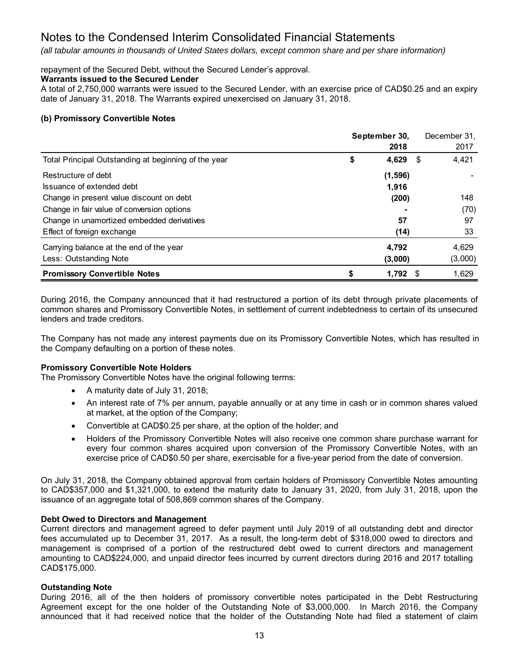*(all tabular amounts in thousands of United States dollars, except common share and per share information)*

### repayment of the Secured Debt, without the Secured Lender's approval.

### **Warrants issued to the Secured Lender**

A total of 2,750,000 warrants were issued to the Secured Lender, with an exercise price of CAD\$0.25 and an expiry date of January 31, 2018. The Warrants expired unexercised on January 31, 2018.

### **(b) Promissory Convertible Notes**

|                                                      |    | September 30,<br>2018 |      | December 31,<br>2017 |
|------------------------------------------------------|----|-----------------------|------|----------------------|
|                                                      |    |                       |      |                      |
| Total Principal Outstanding at beginning of the year | \$ | 4,629                 | - \$ | 4,421                |
| Restructure of debt                                  |    | (1, 596)              |      |                      |
| Issuance of extended debt                            |    | 1,916                 |      |                      |
| Change in present value discount on debt             |    | (200)                 |      | 148                  |
| Change in fair value of conversion options           |    |                       |      | (70)                 |
| Change in unamortized embedded derivatives           |    | 57                    |      | 97                   |
| Effect of foreign exchange                           |    | (14)                  |      | 33                   |
| Carrying balance at the end of the year              |    | 4,792                 |      | 4.629                |
| Less: Outstanding Note                               |    | (3,000)               |      | (3,000)              |
| <b>Promissory Convertible Notes</b>                  | S  | 1,792                 |      | 1,629                |

During 2016, the Company announced that it had restructured a portion of its debt through private placements of common shares and Promissory Convertible Notes, in settlement of current indebtedness to certain of its unsecured lenders and trade creditors.

The Company has not made any interest payments due on its Promissory Convertible Notes, which has resulted in the Company defaulting on a portion of these notes.

#### **Promissory Convertible Note Holders**

The Promissory Convertible Notes have the original following terms:

- A maturity date of July 31, 2018;
- An interest rate of 7% per annum, payable annually or at any time in cash or in common shares valued at market, at the option of the Company;
- Convertible at CAD\$0.25 per share, at the option of the holder; and
- Holders of the Promissory Convertible Notes will also receive one common share purchase warrant for every four common shares acquired upon conversion of the Promissory Convertible Notes, with an exercise price of CAD\$0.50 per share, exercisable for a five-year period from the date of conversion.

On July 31, 2018, the Company obtained approval from certain holders of Promissory Convertible Notes amounting to CAD\$357,000 and \$1,321,000, to extend the maturity date to January 31, 2020, from July 31, 2018, upon the issuance of an aggregate total of 508,869 common shares of the Company.

## **Debt Owed to Directors and Management**

Current directors and management agreed to defer payment until July 2019 of all outstanding debt and director fees accumulated up to December 31, 2017. As a result, the long-term debt of \$318,000 owed to directors and management is comprised of a portion of the restructured debt owed to current directors and management amounting to CAD\$224,000, and unpaid director fees incurred by current directors during 2016 and 2017 totalling CAD\$175,000.

## **Outstanding Note**

During 2016, all of the then holders of promissory convertible notes participated in the Debt Restructuring Agreement except for the one holder of the Outstanding Note of \$3,000,000. In March 2016, the Company announced that it had received notice that the holder of the Outstanding Note had filed a statement of claim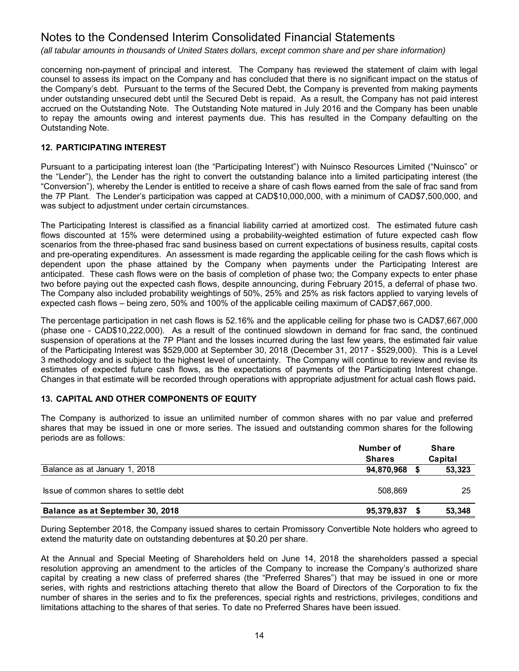*(all tabular amounts in thousands of United States dollars, except common share and per share information)*

concerning non-payment of principal and interest. The Company has reviewed the statement of claim with legal counsel to assess its impact on the Company and has concluded that there is no significant impact on the status of the Company's debt. Pursuant to the terms of the Secured Debt, the Company is prevented from making payments under outstanding unsecured debt until the Secured Debt is repaid. As a result, the Company has not paid interest accrued on the Outstanding Note. The Outstanding Note matured in July 2016 and the Company has been unable to repay the amounts owing and interest payments due. This has resulted in the Company defaulting on the Outstanding Note.

## **12. PARTICIPATING INTEREST**

Pursuant to a participating interest loan (the "Participating Interest") with Nuinsco Resources Limited ("Nuinsco" or the "Lender"), the Lender has the right to convert the outstanding balance into a limited participating interest (the "Conversion"), whereby the Lender is entitled to receive a share of cash flows earned from the sale of frac sand from the 7P Plant. The Lender's participation was capped at CAD\$10,000,000, with a minimum of CAD\$7,500,000, and was subject to adjustment under certain circumstances.

The Participating Interest is classified as a financial liability carried at amortized cost. The estimated future cash flows discounted at 15% were determined using a probability-weighted estimation of future expected cash flow scenarios from the three-phased frac sand business based on current expectations of business results, capital costs and pre-operating expenditures. An assessment is made regarding the applicable ceiling for the cash flows which is dependent upon the phase attained by the Company when payments under the Participating Interest are anticipated. These cash flows were on the basis of completion of phase two; the Company expects to enter phase two before paying out the expected cash flows, despite announcing, during February 2015, a deferral of phase two. The Company also included probability weightings of 50%, 25% and 25% as risk factors applied to varying levels of expected cash flows – being zero, 50% and 100% of the applicable ceiling maximum of CAD\$7,667,000.

The percentage participation in net cash flows is 52.16% and the applicable ceiling for phase two is CAD\$7,667,000 (phase one - CAD\$10,222,000). As a result of the continued slowdown in demand for frac sand, the continued suspension of operations at the 7P Plant and the losses incurred during the last few years, the estimated fair value of the Participating Interest was \$529,000 at September 30, 2018 (December 31, 2017 - \$529,000). This is a Level 3 methodology and is subject to the highest level of uncertainty. The Company will continue to review and revise its estimates of expected future cash flows, as the expectations of payments of the Participating Interest change. Changes in that estimate will be recorded through operations with appropriate adjustment for actual cash flows paid**.** 

## **13. CAPITAL AND OTHER COMPONENTS OF EQUITY**

The Company is authorized to issue an unlimited number of common shares with no par value and preferred shares that may be issued in one or more series. The issued and outstanding common shares for the following periods are as follows:

|                                       | Number of<br><b>Shares</b> | <b>Share</b><br>Capital |
|---------------------------------------|----------------------------|-------------------------|
| Balance as at January 1, 2018         | 94,870,968                 | 53,323                  |
| Issue of common shares to settle debt | 508.869                    | 25                      |
| Balance as at September 30, 2018      | 95,379,837                 | 53,348                  |

During September 2018, the Company issued shares to certain Promissory Convertible Note holders who agreed to extend the maturity date on outstanding debentures at \$0.20 per share.

At the Annual and Special Meeting of Shareholders held on June 14, 2018 the shareholders passed a special resolution approving an amendment to the articles of the Company to increase the Company's authorized share capital by creating a new class of preferred shares (the "Preferred Shares") that may be issued in one or more series, with rights and restrictions attaching thereto that allow the Board of Directors of the Corporation to fix the number of shares in the series and to fix the preferences, special rights and restrictions, privileges, conditions and limitations attaching to the shares of that series. To date no Preferred Shares have been issued.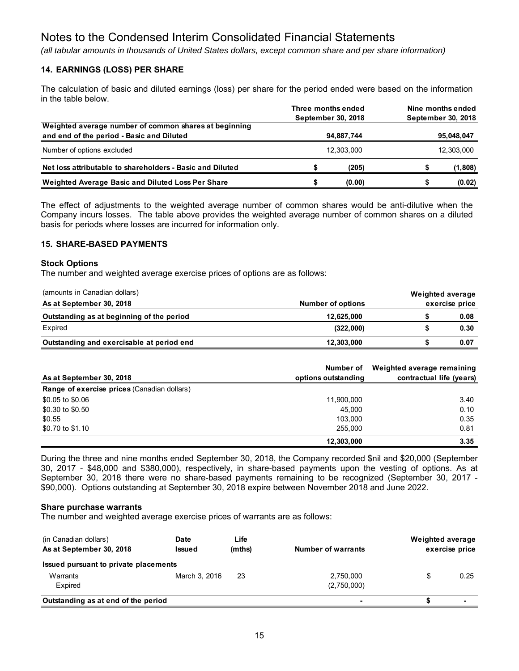*(all tabular amounts in thousands of United States dollars, except common share and per share information)*

## **14. EARNINGS (LOSS) PER SHARE**

The calculation of basic and diluted earnings (loss) per share for the period ended were based on the information in the table below.

|                                                                                                    | Three months ended<br>September 30, 2018 |            | Nine months ended<br>September 30, 2018 |  |  |
|----------------------------------------------------------------------------------------------------|------------------------------------------|------------|-----------------------------------------|--|--|
| Weighted average number of common shares at beginning<br>and end of the period - Basic and Diluted | 94,887,744                               |            | 95,048,047                              |  |  |
| Number of options excluded                                                                         | 12.303.000                               | 12,303,000 |                                         |  |  |
| Net loss attributable to shareholders - Basic and Diluted                                          | (205)                                    |            | (1,808)                                 |  |  |
| Weighted Average Basic and Diluted Loss Per Share                                                  | (0.00)                                   |            | (0.02)                                  |  |  |

The effect of adjustments to the weighted average number of common shares would be anti-dilutive when the Company incurs losses. The table above provides the weighted average number of common shares on a diluted basis for periods where losses are incurred for information only.

## **15. SHARE-BASED PAYMENTS**

#### **Stock Options**

The number and weighted average exercise prices of options are as follows:

| (amounts in Canadian dollars)             |                   | Weighted average |                |
|-------------------------------------------|-------------------|------------------|----------------|
| As at September 30, 2018                  | Number of options |                  | exercise price |
| Outstanding as at beginning of the period | 12,625,000        |                  | 0.08           |
| Expired                                   | (322,000)         |                  | 0.30           |
| Outstanding and exercisable at period end | 12,303,000        |                  | 0.07           |

|                                             | Number of           | Weighted average remaining |
|---------------------------------------------|---------------------|----------------------------|
| As at September 30, 2018                    | options outstanding | contractual life (years)   |
| Range of exercise prices (Canadian dollars) |                     |                            |
| \$0.05 to \$0.06                            | 11,900,000          | 3.40                       |
| \$0.30 to \$0.50                            | 45.000              | 0.10                       |
| \$0.55                                      | 103.000             | 0.35                       |
| \$0.70 to \$1.10                            | 255.000             | 0.81                       |
|                                             | 12,303,000          | 3.35                       |

During the three and nine months ended September 30, 2018, the Company recorded \$nil and \$20,000 (September 30, 2017 - \$48,000 and \$380,000), respectively, in share-based payments upon the vesting of options. As at September 30, 2018 there were no share-based payments remaining to be recognized (September 30, 2017 - \$90,000). Options outstanding at September 30, 2018 expire between November 2018 and June 2022.

#### **Share purchase warrants**

The number and weighted average exercise prices of warrants are as follows:

| (in Canadian dollars)<br>As at September 30, 2018            | Date<br>Issued | Life<br>(mths) | <b>Number of warrants</b> | Weighted average | exercise price |
|--------------------------------------------------------------|----------------|----------------|---------------------------|------------------|----------------|
| Issued pursuant to private placements<br>Warrants<br>Expired | March 3, 2016  | 23             | 2,750,000<br>(2,750,000)  | \$               | 0.25           |
| Outstanding as at end of the period                          |                |                |                           |                  | $\blacksquare$ |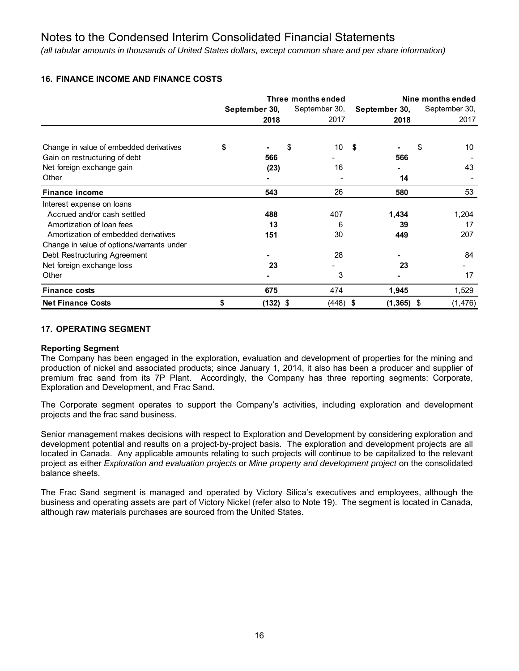*(all tabular amounts in thousands of United States dollars, except common share and per share information)*

# **16. FINANCE INCOME AND FINANCE COSTS**

|                                           | Three months ended             |            |    |               |     | Nine months ended |    |         |
|-------------------------------------------|--------------------------------|------------|----|---------------|-----|-------------------|----|---------|
|                                           | September 30,<br>September 30, |            |    | September 30, |     | September 30,     |    |         |
|                                           |                                | 2018       |    | 2017          |     | 2018              |    | 2017    |
|                                           |                                |            |    |               |     |                   |    |         |
| Change in value of embedded derivatives   | \$                             |            | \$ | 10            | -\$ |                   | \$ | 10      |
| Gain on restructuring of debt             |                                | 566        |    |               |     | 566               |    |         |
| Net foreign exchange gain                 |                                | (23)       |    | 16            |     |                   |    | 43      |
| Other                                     |                                |            |    |               |     | 14                |    |         |
| <b>Finance income</b>                     |                                | 543        |    | 26            |     | 580               |    | 53      |
| Interest expense on loans                 |                                |            |    |               |     |                   |    |         |
| Accrued and/or cash settled               |                                | 488        |    | 407           |     | 1,434             |    | 1,204   |
| Amortization of loan fees                 |                                | 13         |    | 6             |     | 39                |    | 17      |
| Amortization of embedded derivatives      |                                | 151        |    | 30            |     | 449               |    | 207     |
| Change in value of options/warrants under |                                |            |    |               |     |                   |    |         |
| Debt Restructuring Agreement              |                                |            |    | 28            |     |                   |    | 84      |
| Net foreign exchange loss                 |                                | 23         |    |               |     | 23                |    |         |
| Other                                     |                                |            |    | 3             |     |                   |    | 17      |
| <b>Finance costs</b>                      |                                | 675        |    | 474           |     | 1,945             |    | 1,529   |
| <b>Net Finance Costs</b>                  | \$                             | $(132)$ \$ |    | $(448)$ \$    |     | $(1,365)$ \$      |    | (1,476) |

## **17. OPERATING SEGMENT**

## **Reporting Segment**

The Company has been engaged in the exploration, evaluation and development of properties for the mining and production of nickel and associated products; since January 1, 2014, it also has been a producer and supplier of premium frac sand from its 7P Plant. Accordingly, the Company has three reporting segments: Corporate, Exploration and Development, and Frac Sand.

The Corporate segment operates to support the Company's activities, including exploration and development projects and the frac sand business.

Senior management makes decisions with respect to Exploration and Development by considering exploration and development potential and results on a project-by-project basis. The exploration and development projects are all located in Canada. Any applicable amounts relating to such projects will continue to be capitalized to the relevant project as either *Exploration and evaluation projects* or *Mine property and development project* on the consolidated balance sheets.

The Frac Sand segment is managed and operated by Victory Silica's executives and employees, although the business and operating assets are part of Victory Nickel (refer also to Note 19). The segment is located in Canada, although raw materials purchases are sourced from the United States.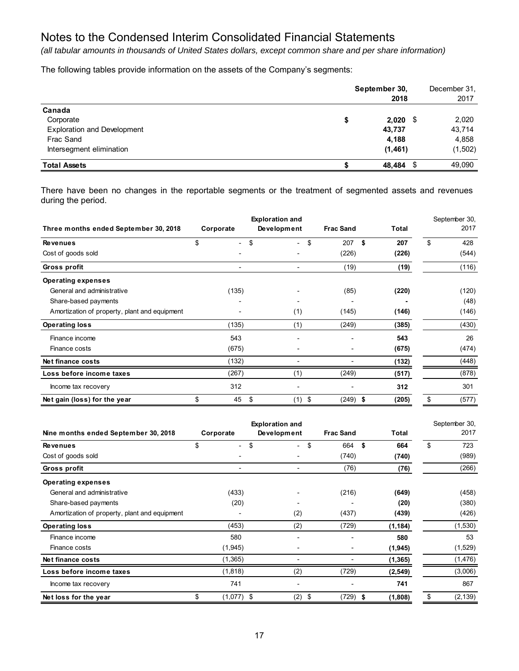*(all tabular amounts in thousands of United States dollars, except common share and per share information)*

The following tables provide information on the assets of the Company's segments:

|                                    | September 30, | 2018       | December 31,<br>2017 |
|------------------------------------|---------------|------------|----------------------|
| Canada                             |               |            |                      |
| Corporate                          | \$            | $2,020$ \$ | 2,020                |
| <b>Exploration and Development</b> |               | 43,737     | 43,714               |
| Frac Sand                          |               | 4,188      | 4,858                |
| Intersegment elimination           |               | (1, 461)   | (1, 502)             |
| <b>Total Assets</b>                |               | 48,484 \$  | 49,090               |

There have been no changes in the reportable segments or the treatment of segmented assets and revenues during the period.

|                                               |              | <b>Exploration and</b>   |                  |              | September 30, |
|-----------------------------------------------|--------------|--------------------------|------------------|--------------|---------------|
| Three months ended September 30, 2018         | Corporate    | Development              | <b>Frac Sand</b> | <b>Total</b> | 2017          |
| <b>Revenues</b>                               | \$<br>$\sim$ | \$<br>$\sim$             | \$<br>207        | \$<br>207    | \$<br>428     |
| Cost of goods sold                            |              |                          | (226)            | (226)        | (544)         |
| Gross profit                                  |              | $\overline{\phantom{0}}$ | (19)             | (19)         | (116)         |
| <b>Operating expenses</b>                     |              |                          |                  |              |               |
| General and administrative                    | (135)        |                          | (85)             | (220)        | (120)         |
| Share-based payments                          |              |                          |                  |              | (48)          |
| Amortization of property, plant and equipment |              | (1)                      | (145)            | (146)        | (146)         |
| <b>Operating loss</b>                         | (135)        | (1)                      | (249)            | (385)        | (430)         |
| Finance income                                | 543          |                          |                  | 543          | 26            |
| Finance costs                                 | (675)        |                          |                  | (675)        | (474)         |
| Net finance costs                             | (132)        |                          |                  | (132)        | (448)         |
| Loss before income taxes                      | (267)        | (1)                      | (249)            | (517)        | (878)         |
| Income tax recovery                           | 312          |                          |                  | 312          | 301           |
| Net gain (loss) for the year                  | \$<br>45     | \$<br>(1)                | \$<br>$(249)$ \$ | (205)        | \$<br>(577)   |

|                                               |                      | <b>Exploration and</b> |                  | September 30, |                |
|-----------------------------------------------|----------------------|------------------------|------------------|---------------|----------------|
| Nine months ended September 30, 2018          | Corporate            | Development            | <b>Frac Sand</b> | Total         | 2017           |
| <b>Revenues</b>                               | \$<br>$\blacksquare$ | \$<br>$\sim$           | \$<br>664        | - \$<br>664   | \$<br>723      |
| Cost of goods sold                            |                      |                        | (740)            | (740)         | (989)          |
| Gross profit                                  |                      |                        | (76)             | (76)          | (266)          |
| <b>Operating expenses</b>                     |                      |                        |                  |               |                |
| General and administrative                    | (433)                |                        | (216)            | (649)         | (458)          |
| Share-based payments                          | (20)                 |                        |                  | (20)          | (380)          |
| Amortization of property, plant and equipment |                      | (2)                    | (437)            | (439)         | (426)          |
| <b>Operating loss</b>                         | (453)                | (2)                    | (729)            | (1, 184)      | (1,530)        |
| Finance income                                | 580                  |                        |                  | 580           | 53             |
| Finance costs                                 | (1, 945)             |                        | $\blacksquare$   | (1, 945)      | (1,529)        |
| Net finance costs                             | (1, 365)             |                        |                  | (1, 365)      | (1, 476)       |
| Loss before income taxes                      | (1,818)              | (2)                    | (729)            | (2, 549)      | (3,006)        |
| Income tax recovery                           | 741                  |                        |                  | 741           | 867            |
| Net loss for the year                         | \$<br>$(1,077)$ \$   | (2)                    | (729)<br>\$      | (1,808)<br>\$ | \$<br>(2, 139) |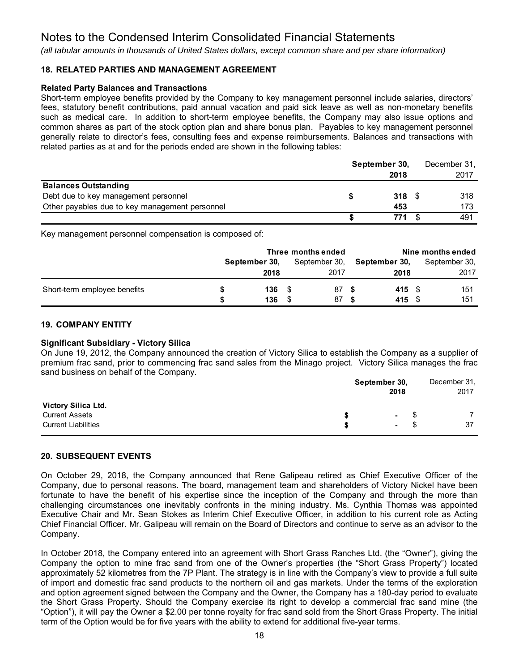*(all tabular amounts in thousands of United States dollars, except common share and per share information)*

## **18. RELATED PARTIES AND MANAGEMENT AGREEMENT**

#### **Related Party Balances and Transactions**

Short-term employee benefits provided by the Company to key management personnel include salaries, directors' fees, statutory benefit contributions, paid annual vacation and paid sick leave as well as non-monetary benefits such as medical care. In addition to short-term employee benefits, the Company may also issue options and common shares as part of the stock option plan and share bonus plan. Payables to key management personnel generally relate to director's fees, consulting fees and expense reimbursements. Balances and transactions with related parties as at and for the periods ended are shown in the following tables:

|                                                | September 30, |  | December 31, |
|------------------------------------------------|---------------|--|--------------|
|                                                | 2018          |  | 2017         |
| <b>Balances Outstanding</b>                    |               |  |              |
| Debt due to key management personnel           | 318           |  | 318          |
| Other payables due to key management personnel | 453           |  | 173          |
|                                                | 771           |  | 491          |

Key management personnel compensation is composed of:

|                              | Three months ended |               |  |               | Nine months ended |               |  |               |  |
|------------------------------|--------------------|---------------|--|---------------|-------------------|---------------|--|---------------|--|
|                              |                    | September 30, |  | September 30, |                   | September 30. |  | September 30, |  |
|                              |                    | 2018          |  | 2017          |                   | 2018          |  | 2017          |  |
| Short-term employee benefits |                    | 136           |  | 87            |                   | 415           |  | 151           |  |
|                              |                    | 136           |  | 87            |                   | 415           |  | 151           |  |

#### **19. COMPANY ENTITY**

#### **Significant Subsidiary - Victory Silica**

On June 19, 2012, the Company announced the creation of Victory Silica to establish the Company as a supplier of premium frac sand, prior to commencing frac sand sales from the Minago project. Victory Silica manages the frac sand business on behalf of the Company.

|                                                                            |   | September 30,<br>2018 |        |    |  |  |
|----------------------------------------------------------------------------|---|-----------------------|--------|----|--|--|
| Victory Silica Ltd.<br><b>Current Assets</b><br><b>Current Liabilities</b> | S | $\sim$<br>$\sim$      | S<br>S | 37 |  |  |

#### **20. SUBSEQUENT EVENTS**

On October 29, 2018, the Company announced that Rene Galipeau retired as Chief Executive Officer of the Company, due to personal reasons. The board, management team and shareholders of Victory Nickel have been fortunate to have the benefit of his expertise since the inception of the Company and through the more than challenging circumstances one inevitably confronts in the mining industry. Ms. Cynthia Thomas was appointed Executive Chair and Mr. Sean Stokes as Interim Chief Executive Officer, in addition to his current role as Acting Chief Financial Officer. Mr. Galipeau will remain on the Board of Directors and continue to serve as an advisor to the Company.

In October 2018, the Company entered into an agreement with Short Grass Ranches Ltd. (the "Owner"), giving the Company the option to mine frac sand from one of the Owner's properties (the "Short Grass Property") located approximately 52 kilometres from the 7P Plant. The strategy is in line with the Company's view to provide a full suite of import and domestic frac sand products to the northern oil and gas markets. Under the terms of the exploration and option agreement signed between the Company and the Owner, the Company has a 180-day period to evaluate the Short Grass Property. Should the Company exercise its right to develop a commercial frac sand mine (the "Option"), it will pay the Owner a \$2.00 per tonne royalty for frac sand sold from the Short Grass Property. The initial term of the Option would be for five years with the ability to extend for additional five-year terms.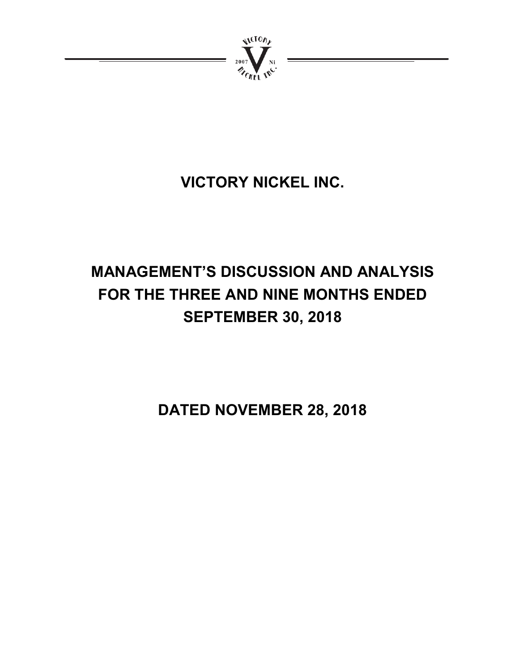

# **VICTORY NICKEL INC.**

# **MANAGEMENT'S DISCUSSION AND ANALYSIS FOR THE THREE AND NINE MONTHS ENDED SEPTEMBER 30, 2018**

**DATED NOVEMBER 28, 2018**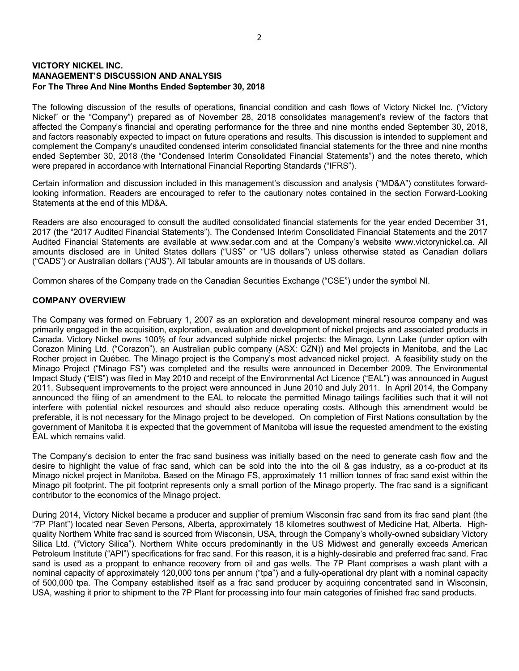### **VICTORY NICKEL INC. MANAGEMENT'S DISCUSSION AND ANALYSIS For The Three And Nine Months Ended September 30, 2018**

The following discussion of the results of operations, financial condition and cash flows of Victory Nickel Inc. ("Victory Nickel" or the "Company") prepared as of November 28, 2018 consolidates management's review of the factors that affected the Company's financial and operating performance for the three and nine months ended September 30, 2018, and factors reasonably expected to impact on future operations and results. This discussion is intended to supplement and complement the Company's unaudited condensed interim consolidated financial statements for the three and nine months ended September 30, 2018 (the "Condensed Interim Consolidated Financial Statements") and the notes thereto, which were prepared in accordance with International Financial Reporting Standards ("IFRS").

Certain information and discussion included in this management's discussion and analysis ("MD&A") constitutes forwardlooking information. Readers are encouraged to refer to the cautionary notes contained in the section Forward-Looking Statements at the end of this MD&A.

Readers are also encouraged to consult the audited consolidated financial statements for the year ended December 31, 2017 (the "2017 Audited Financial Statements"). The Condensed Interim Consolidated Financial Statements and the 2017 Audited Financial Statements are available at www.sedar.com and at the Company's website www.victorynickel.ca. All amounts disclosed are in United States dollars ("US\$" or "US dollars") unless otherwise stated as Canadian dollars ("CAD\$") or Australian dollars ("AU\$"). All tabular amounts are in thousands of US dollars.

Common shares of the Company trade on the Canadian Securities Exchange ("CSE") under the symbol NI.

### **COMPANY OVERVIEW**

The Company was formed on February 1, 2007 as an exploration and development mineral resource company and was primarily engaged in the acquisition, exploration, evaluation and development of nickel projects and associated products in Canada. Victory Nickel owns 100% of four advanced sulphide nickel projects: the Minago, Lynn Lake (under option with Corazon Mining Ltd. ("Corazon"), an Australian public company (ASX: CZN)) and Mel projects in Manitoba, and the Lac Rocher project in Québec. The Minago project is the Company's most advanced nickel project. A feasibility study on the Minago Project ("Minago FS") was completed and the results were announced in December 2009. The Environmental Impact Study ("EIS") was filed in May 2010 and receipt of the Environmental Act Licence ("EAL") was announced in August 2011. Subsequent improvements to the project were announced in June 2010 and July 2011. In April 2014, the Company announced the filing of an amendment to the EAL to relocate the permitted Minago tailings facilities such that it will not interfere with potential nickel resources and should also reduce operating costs. Although this amendment would be preferable, it is not necessary for the Minago project to be developed. On completion of First Nations consultation by the government of Manitoba it is expected that the government of Manitoba will issue the requested amendment to the existing EAL which remains valid.

The Company's decision to enter the frac sand business was initially based on the need to generate cash flow and the desire to highlight the value of frac sand, which can be sold into the into the oil & gas industry, as a co-product at its Minago nickel project in Manitoba. Based on the Minago FS, approximately 11 million tonnes of frac sand exist within the Minago pit footprint. The pit footprint represents only a small portion of the Minago property. The frac sand is a significant contributor to the economics of the Minago project.

During 2014, Victory Nickel became a producer and supplier of premium Wisconsin frac sand from its frac sand plant (the "7P Plant") located near Seven Persons, Alberta, approximately 18 kilometres southwest of Medicine Hat, Alberta. Highquality Northern White frac sand is sourced from Wisconsin, USA, through the Company's wholly-owned subsidiary Victory Silica Ltd. ("Victory Silica"). Northern White occurs predominantly in the US Midwest and generally exceeds American Petroleum Institute ("API") specifications for frac sand. For this reason, it is a highly-desirable and preferred frac sand. Frac sand is used as a proppant to enhance recovery from oil and gas wells. The 7P Plant comprises a wash plant with a nominal capacity of approximately 120,000 tons per annum ("tpa") and a fully-operational dry plant with a nominal capacity of 500,000 tpa. The Company established itself as a frac sand producer by acquiring concentrated sand in Wisconsin, USA, washing it prior to shipment to the 7P Plant for processing into four main categories of finished frac sand products.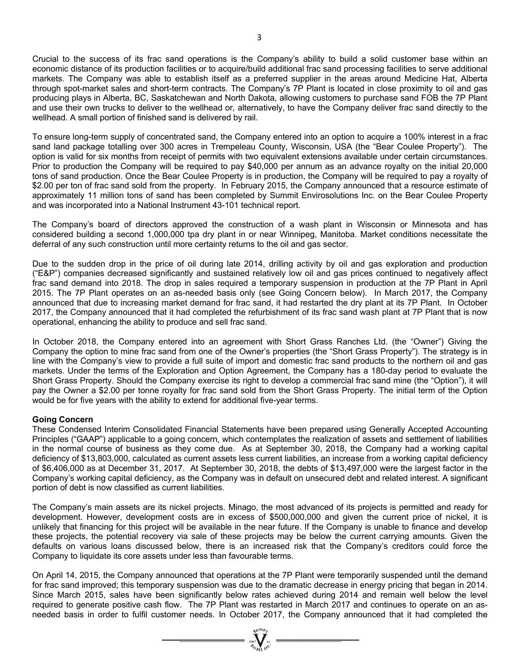Crucial to the success of its frac sand operations is the Company's ability to build a solid customer base within an economic distance of its production facilities or to acquire/build additional frac sand processing facilities to serve additional markets. The Company was able to establish itself as a preferred supplier in the areas around Medicine Hat, Alberta through spot-market sales and short-term contracts. The Company's 7P Plant is located in close proximity to oil and gas producing plays in Alberta, BC, Saskatchewan and North Dakota, allowing customers to purchase sand FOB the 7P Plant and use their own trucks to deliver to the wellhead or, alternatively, to have the Company deliver frac sand directly to the wellhead. A small portion of finished sand is delivered by rail.

To ensure long-term supply of concentrated sand, the Company entered into an option to acquire a 100% interest in a frac sand land package totalling over 300 acres in Trempeleau County, Wisconsin, USA (the "Bear Coulee Property"). The option is valid for six months from receipt of permits with two equivalent extensions available under certain circumstances. Prior to production the Company will be required to pay \$40,000 per annum as an advance royalty on the initial 20,000 tons of sand production. Once the Bear Coulee Property is in production, the Company will be required to pay a royalty of \$2.00 per ton of frac sand sold from the property. In February 2015, the Company announced that a resource estimate of approximately 11 million tons of sand has been completed by Summit Envirosolutions Inc. on the Bear Coulee Property and was incorporated into a National Instrument 43-101 technical report.

The Company's board of directors approved the construction of a wash plant in Wisconsin or Minnesota and has considered building a second 1,000,000 tpa dry plant in or near Winnipeg, Manitoba. Market conditions necessitate the deferral of any such construction until more certainty returns to the oil and gas sector.

Due to the sudden drop in the price of oil during late 2014, drilling activity by oil and gas exploration and production ("E&P") companies decreased significantly and sustained relatively low oil and gas prices continued to negatively affect frac sand demand into 2018. The drop in sales required a temporary suspension in production at the 7P Plant in April 2015. The 7P Plant operates on an as-needed basis only (see Going Concern below). In March 2017, the Company announced that due to increasing market demand for frac sand, it had restarted the dry plant at its 7P Plant. In October 2017, the Company announced that it had completed the refurbishment of its frac sand wash plant at 7P Plant that is now operational, enhancing the ability to produce and sell frac sand.

In October 2018, the Company entered into an agreement with Short Grass Ranches Ltd. (the "Owner") Giving the Company the option to mine frac sand from one of the Owner's properties (the "Short Grass Property"). The strategy is in line with the Company's view to provide a full suite of import and domestic frac sand products to the northern oil and gas markets. Under the terms of the Exploration and Option Agreement, the Company has a 180-day period to evaluate the Short Grass Property. Should the Company exercise its right to develop a commercial frac sand mine (the "Option"), it will pay the Owner a \$2.00 per tonne royalty for frac sand sold from the Short Grass Property. The initial term of the Option would be for five years with the ability to extend for additional five-year terms.

#### **Going Concern**

These Condensed Interim Consolidated Financial Statements have been prepared using Generally Accepted Accounting Principles ("GAAP") applicable to a going concern, which contemplates the realization of assets and settlement of liabilities in the normal course of business as they come due. As at September 30, 2018, the Company had a working capital deficiency of \$13,803,000, calculated as current assets less current liabilities, an increase from a working capital deficiency of \$6,406,000 as at December 31, 2017. At September 30, 2018, the debts of \$13,497,000 were the largest factor in the Company's working capital deficiency, as the Company was in default on unsecured debt and related interest. A significant portion of debt is now classified as current liabilities.

The Company's main assets are its nickel projects. Minago, the most advanced of its projects is permitted and ready for development. However, development costs are in excess of \$500,000,000 and given the current price of nickel, it is unlikely that financing for this project will be available in the near future. If the Company is unable to finance and develop these projects, the potential recovery via sale of these projects may be below the current carrying amounts. Given the defaults on various loans discussed below, there is an increased risk that the Company's creditors could force the Company to liquidate its core assets under less than favourable terms.

On April 14, 2015, the Company announced that operations at the 7P Plant were temporarily suspended until the demand for frac sand improved; this temporary suspension was due to the dramatic decrease in energy pricing that began in 2014. Since March 2015, sales have been significantly below rates achieved during 2014 and remain well below the level required to generate positive cash flow. The 7P Plant was restarted in March 2017 and continues to operate on an asneeded basis in order to fulfil customer needs. In October 2017, the Company announced that it had completed the

 $=\sum_{\text{var} \in \mathcal{N}} \sum_{\text{var} \in \mathcal{N}}$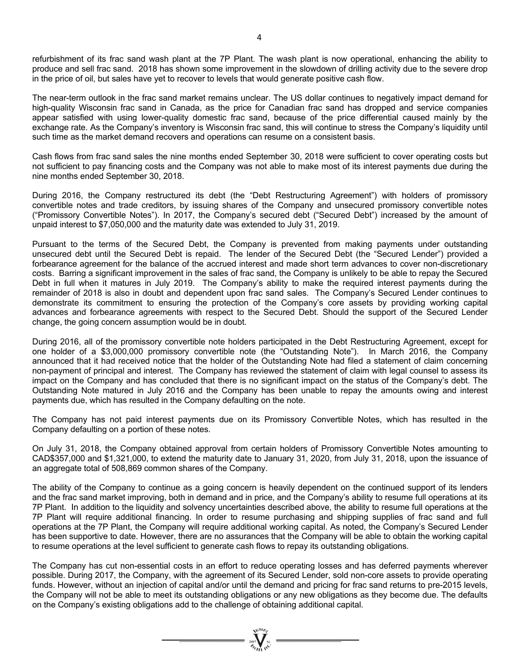refurbishment of its frac sand wash plant at the 7P Plant. The wash plant is now operational, enhancing the ability to produce and sell frac sand. 2018 has shown some improvement in the slowdown of drilling activity due to the severe drop in the price of oil, but sales have yet to recover to levels that would generate positive cash flow.

The near-term outlook in the frac sand market remains unclear. The US dollar continues to negatively impact demand for high-quality Wisconsin frac sand in Canada, as the price for Canadian frac sand has dropped and service companies appear satisfied with using lower-quality domestic frac sand, because of the price differential caused mainly by the exchange rate. As the Company's inventory is Wisconsin frac sand, this will continue to stress the Company's liquidity until such time as the market demand recovers and operations can resume on a consistent basis.

Cash flows from frac sand sales the nine months ended September 30, 2018 were sufficient to cover operating costs but not sufficient to pay financing costs and the Company was not able to make most of its interest payments due during the nine months ended September 30, 2018.

During 2016, the Company restructured its debt (the "Debt Restructuring Agreement") with holders of promissory convertible notes and trade creditors, by issuing shares of the Company and unsecured promissory convertible notes ("Promissory Convertible Notes"). In 2017, the Company's secured debt ("Secured Debt") increased by the amount of unpaid interest to \$7,050,000 and the maturity date was extended to July 31, 2019.

Pursuant to the terms of the Secured Debt, the Company is prevented from making payments under outstanding unsecured debt until the Secured Debt is repaid. The lender of the Secured Debt (the "Secured Lender") provided a forbearance agreement for the balance of the accrued interest and made short term advances to cover non-discretionary costs. Barring a significant improvement in the sales of frac sand, the Company is unlikely to be able to repay the Secured Debt in full when it matures in July 2019. The Company's ability to make the required interest payments during the remainder of 2018 is also in doubt and dependent upon frac sand sales. The Company's Secured Lender continues to demonstrate its commitment to ensuring the protection of the Company's core assets by providing working capital advances and forbearance agreements with respect to the Secured Debt. Should the support of the Secured Lender change, the going concern assumption would be in doubt.

During 2016, all of the promissory convertible note holders participated in the Debt Restructuring Agreement, except for one holder of a \$3,000,000 promissory convertible note (the "Outstanding Note"). In March 2016, the Company announced that it had received notice that the holder of the Outstanding Note had filed a statement of claim concerning non-payment of principal and interest. The Company has reviewed the statement of claim with legal counsel to assess its impact on the Company and has concluded that there is no significant impact on the status of the Company's debt. The Outstanding Note matured in July 2016 and the Company has been unable to repay the amounts owing and interest payments due, which has resulted in the Company defaulting on the note.

The Company has not paid interest payments due on its Promissory Convertible Notes, which has resulted in the Company defaulting on a portion of these notes.

On July 31, 2018, the Company obtained approval from certain holders of Promissory Convertible Notes amounting to CAD\$357,000 and \$1,321,000, to extend the maturity date to January 31, 2020, from July 31, 2018, upon the issuance of an aggregate total of 508,869 common shares of the Company.

The ability of the Company to continue as a going concern is heavily dependent on the continued support of its lenders and the frac sand market improving, both in demand and in price, and the Company's ability to resume full operations at its 7P Plant. In addition to the liquidity and solvency uncertainties described above, the ability to resume full operations at the 7P Plant will require additional financing. In order to resume purchasing and shipping supplies of frac sand and full operations at the 7P Plant, the Company will require additional working capital. As noted, the Company's Secured Lender has been supportive to date. However, there are no assurances that the Company will be able to obtain the working capital to resume operations at the level sufficient to generate cash flows to repay its outstanding obligations.

The Company has cut non-essential costs in an effort to reduce operating losses and has deferred payments wherever possible. During 2017, the Company, with the agreement of its Secured Lender, sold non-core assets to provide operating funds. However, without an injection of capital and/or until the demand and pricing for frac sand returns to pre-2015 levels, the Company will not be able to meet its outstanding obligations or any new obligations as they become due. The defaults on the Company's existing obligations add to the challenge of obtaining additional capital.

=  $\sum_{y \in V(G)}$  =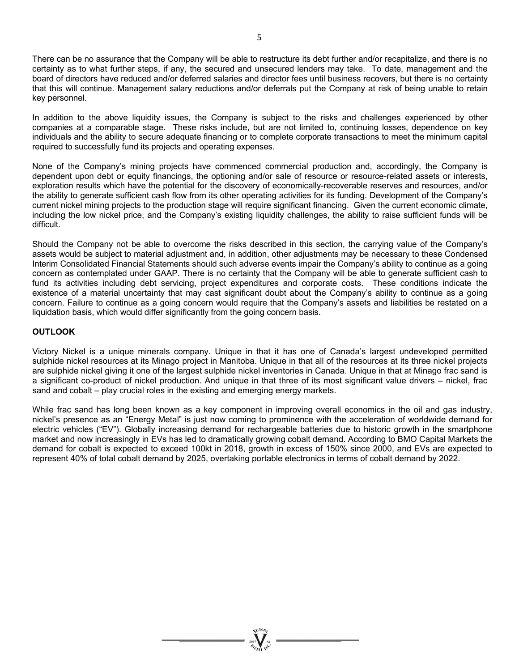There can be no assurance that the Company will be able to restructure its debt further and/or recapitalize, and there is no certainty as to what further steps, if any, the secured and unsecured lenders may take. To date, management and the board of directors have reduced and/or deferred salaries and director fees until business recovers, but there is no certainty that this will continue. Management salary reductions and/or deferrals put the Company at risk of being unable to retain key personnel.

In addition to the above liquidity issues, the Company is subject to the risks and challenges experienced by other companies at a comparable stage. These risks include, but are not limited to, continuing losses, dependence on key individuals and the ability to secure adequate financing or to complete corporate transactions to meet the minimum capital required to successfully fund its projects and operating expenses.

None of the Company's mining projects have commenced commercial production and, accordingly, the Company is dependent upon debt or equity financings, the optioning and/or sale of resource or resource-related assets or interests, exploration results which have the potential for the discovery of economically-recoverable reserves and resources, and/or the ability to generate sufficient cash flow from its other operating activities for its funding. Development of the Company's current nickel mining projects to the production stage will require significant financing. Given the current economic climate, including the low nickel price, and the Company's existing liquidity challenges, the ability to raise sufficient funds will be difficult.

Should the Company not be able to overcome the risks described in this section, the carrying value of the Company's assets would be subject to material adjustment and, in addition, other adjustments may be necessary to these Condensed Interim Consolidated Financial Statements should such adverse events impair the Company's ability to continue as a going concern as contemplated under GAAP. There is no certainty that the Company will be able to generate sufficient cash to fund its activities including debt servicing, project expenditures and corporate costs. These conditions indicate the existence of a material uncertainty that may cast significant doubt about the Company's ability to continue as a going concern. Failure to continue as a going concern would require that the Company's assets and liabilities be restated on a liquidation basis, which would differ significantly from the going concern basis.

### **OUTLOOK**

Victory Nickel is a unique minerals company. Unique in that it has one of Canada's largest undeveloped permitted sulphide nickel resources at its Minago project in Manitoba. Unique in that all of the resources at its three nickel projects are sulphide nickel giving it one of the largest sulphide nickel inventories in Canada. Unique in that at Minago frac sand is a significant co-product of nickel production. And unique in that three of its most significant value drivers – nickel, frac sand and cobalt – play crucial roles in the existing and emerging energy markets.

While frac sand has long been known as a key component in improving overall economics in the oil and gas industry, nickel's presence as an "Energy Metal" is just now coming to prominence with the acceleration of worldwide demand for electric vehicles ("EV"). Globally increasing demand for rechargeable batteries due to historic growth in the smartphone market and now increasingly in EVs has led to dramatically growing cobalt demand. According to BMO Capital Markets the demand for cobalt is expected to exceed 100kt in 2018, growth in excess of 150% since 2000, and EVs are expected to represent 40% of total cobalt demand by 2025, overtaking portable electronics in terms of cobalt demand by 2022.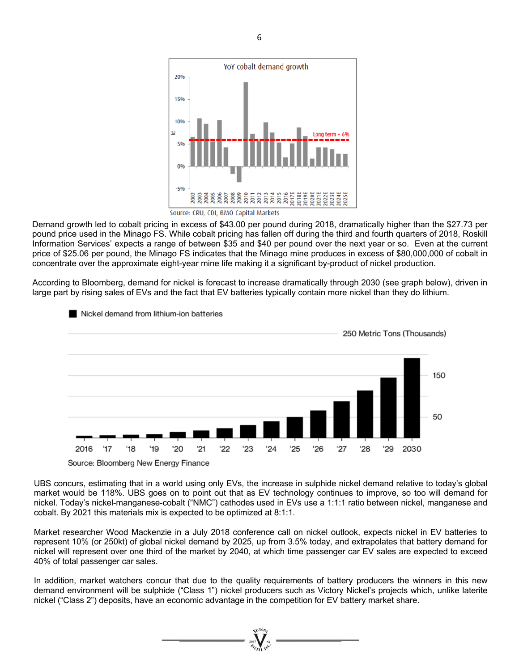

Demand growth led to cobalt pricing in excess of \$43.00 per pound during 2018, dramatically higher than the \$27.73 per pound price used in the Minago FS. While cobalt pricing has fallen off during the third and fourth quarters of 2018, Roskill Information Services' expects a range of between \$35 and \$40 per pound over the next year or so. Even at the current price of \$25.06 per pound, the Minago FS indicates that the Minago mine produces in excess of \$80,000,000 of cobalt in concentrate over the approximate eight-year mine life making it a significant by-product of nickel production.

According to Bloomberg, demand for nickel is forecast to increase dramatically through 2030 (see graph below), driven in large part by rising sales of EVs and the fact that EV batteries typically contain more nickel than they do lithium.



#### Nickel demand from lithium-ion batteries

UBS concurs, estimating that in a world using only EVs, the increase in sulphide nickel demand relative to today's global market would be 118%. UBS goes on to point out that as EV technology continues to improve, so too will demand for nickel. Today's nickel-manganese-cobalt ("NMC") cathodes used in EVs use a 1:1:1 ratio between nickel, manganese and cobalt. By 2021 this materials mix is expected to be optimized at 8:1:1.

Market researcher Wood Mackenzie in a July 2018 conference call on nickel outlook, expects nickel in EV batteries to represent 10% (or 250kt) of global nickel demand by 2025, up from 3.5% today, and extrapolates that battery demand for nickel will represent over one third of the market by 2040, at which time passenger car EV sales are expected to exceed 40% of total passenger car sales.

In addition, market watchers concur that due to the quality requirements of battery producers the winners in this new demand environment will be sulphide ("Class 1") nickel producers such as Victory Nickel's projects which, unlike laterite nickel ("Class 2") deposits, have an economic advantage in the competition for EV battery market share.

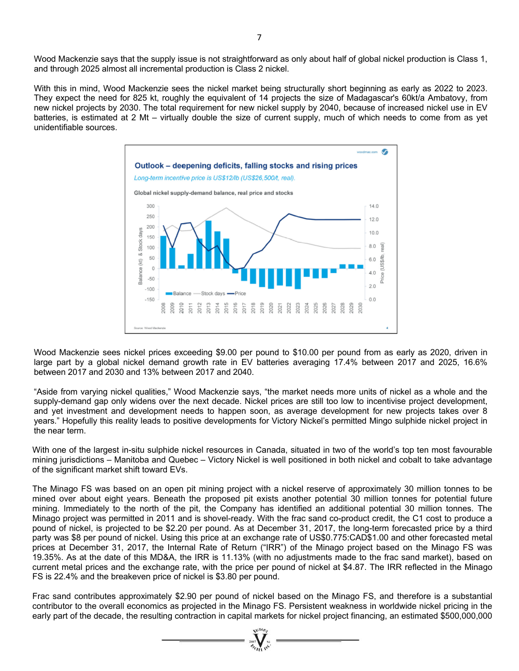Wood Mackenzie says that the supply issue is not straightforward as only about half of global nickel production is Class 1, and through 2025 almost all incremental production is Class 2 nickel.

With this in mind, Wood Mackenzie sees the nickel market being structurally short beginning as early as 2022 to 2023. They expect the need for 825 kt, roughly the equivalent of 14 projects the size of Madagascar's 60kt/a Ambatovy, from new nickel projects by 2030. The total requirement for new nickel supply by 2040, because of increased nickel use in EV batteries, is estimated at 2 Mt – virtually double the size of current supply, much of which needs to come from as yet unidentifiable sources.



Wood Mackenzie sees nickel prices exceeding \$9.00 per pound to \$10.00 per pound from as early as 2020, driven in large part by a global nickel demand growth rate in EV batteries averaging 17.4% between 2017 and 2025, 16.6% between 2017 and 2030 and 13% between 2017 and 2040.

"Aside from varying nickel qualities," Wood Mackenzie says, "the market needs more units of nickel as a whole and the supply-demand gap only widens over the next decade. Nickel prices are still too low to incentivise project development, and yet investment and development needs to happen soon, as average development for new projects takes over 8 years." Hopefully this reality leads to positive developments for Victory Nickel's permitted Mingo sulphide nickel project in the near term.

With one of the largest in-situ sulphide nickel resources in Canada, situated in two of the world's top ten most favourable mining jurisdictions – Manitoba and Quebec – Victory Nickel is well positioned in both nickel and cobalt to take advantage of the significant market shift toward EVs.

The Minago FS was based on an open pit mining project with a nickel reserve of approximately 30 million tonnes to be mined over about eight years. Beneath the proposed pit exists another potential 30 million tonnes for potential future mining. Immediately to the north of the pit, the Company has identified an additional potential 30 million tonnes. The Minago project was permitted in 2011 and is shovel-ready. With the frac sand co-product credit, the C1 cost to produce a pound of nickel, is projected to be \$2.20 per pound. As at December 31, 2017, the long-term forecasted price by a third party was \$8 per pound of nickel. Using this price at an exchange rate of US\$0.775:CAD\$1.00 and other forecasted metal prices at December 31, 2017, the Internal Rate of Return ("IRR") of the Minago project based on the Minago FS was 19.35%. As at the date of this MD&A, the IRR is 11.13% (with no adjustments made to the frac sand market), based on current metal prices and the exchange rate, with the price per pound of nickel at \$4.87. The IRR reflected in the Minago FS is 22.4% and the breakeven price of nickel is \$3.80 per pound.

Frac sand contributes approximately \$2.90 per pound of nickel based on the Minago FS, and therefore is a substantial contributor to the overall economics as projected in the Minago FS. Persistent weakness in worldwide nickel pricing in the early part of the decade, the resulting contraction in capital markets for nickel project financing, an estimated \$500,000,000

 $\sum_{\gamma_{\alpha}}$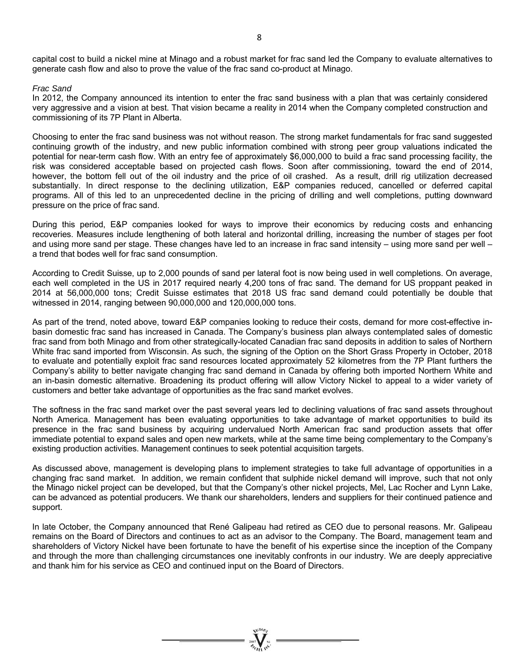capital cost to build a nickel mine at Minago and a robust market for frac sand led the Company to evaluate alternatives to generate cash flow and also to prove the value of the frac sand co-product at Minago.

#### *Frac Sand*

In 2012, the Company announced its intention to enter the frac sand business with a plan that was certainly considered very aggressive and a vision at best. That vision became a reality in 2014 when the Company completed construction and commissioning of its 7P Plant in Alberta.

Choosing to enter the frac sand business was not without reason. The strong market fundamentals for frac sand suggested continuing growth of the industry, and new public information combined with strong peer group valuations indicated the potential for near-term cash flow. With an entry fee of approximately \$6,000,000 to build a frac sand processing facility, the risk was considered acceptable based on projected cash flows. Soon after commissioning, toward the end of 2014, however, the bottom fell out of the oil industry and the price of oil crashed. As a result, drill rig utilization decreased substantially. In direct response to the declining utilization, E&P companies reduced, cancelled or deferred capital programs. All of this led to an unprecedented decline in the pricing of drilling and well completions, putting downward pressure on the price of frac sand.

During this period, E&P companies looked for ways to improve their economics by reducing costs and enhancing recoveries. Measures include lengthening of both lateral and horizontal drilling, increasing the number of stages per foot and using more sand per stage. These changes have led to an increase in frac sand intensity – using more sand per well – a trend that bodes well for frac sand consumption.

According to Credit Suisse, up to 2,000 pounds of sand per lateral foot is now being used in well completions. On average, each well completed in the US in 2017 required nearly 4,200 tons of frac sand. The demand for US proppant peaked in 2014 at 56,000,000 tons; Credit Suisse estimates that 2018 US frac sand demand could potentially be double that witnessed in 2014, ranging between 90,000,000 and 120,000,000 tons.

As part of the trend, noted above, toward E&P companies looking to reduce their costs, demand for more cost-effective inbasin domestic frac sand has increased in Canada. The Company's business plan always contemplated sales of domestic frac sand from both Minago and from other strategically-located Canadian frac sand deposits in addition to sales of Northern White frac sand imported from Wisconsin. As such, the signing of the Option on the Short Grass Property in October, 2018 to evaluate and potentially exploit frac sand resources located approximately 52 kilometres from the 7P Plant furthers the Company's ability to better navigate changing frac sand demand in Canada by offering both imported Northern White and an in-basin domestic alternative. Broadening its product offering will allow Victory Nickel to appeal to a wider variety of customers and better take advantage of opportunities as the frac sand market evolves.

The softness in the frac sand market over the past several years led to declining valuations of frac sand assets throughout North America. Management has been evaluating opportunities to take advantage of market opportunities to build its presence in the frac sand business by acquiring undervalued North American frac sand production assets that offer immediate potential to expand sales and open new markets, while at the same time being complementary to the Company's existing production activities. Management continues to seek potential acquisition targets.

As discussed above, management is developing plans to implement strategies to take full advantage of opportunities in a changing frac sand market. In addition, we remain confident that sulphide nickel demand will improve, such that not only the Minago nickel project can be developed, but that the Company's other nickel projects, Mel, Lac Rocher and Lynn Lake, can be advanced as potential producers. We thank our shareholders, lenders and suppliers for their continued patience and support.

In late October, the Company announced that René Galipeau had retired as CEO due to personal reasons. Mr. Galipeau remains on the Board of Directors and continues to act as an advisor to the Company. The Board, management team and shareholders of Victory Nickel have been fortunate to have the benefit of his expertise since the inception of the Company and through the more than challenging circumstances one inevitably confronts in our industry. We are deeply appreciative and thank him for his service as CEO and continued input on the Board of Directors.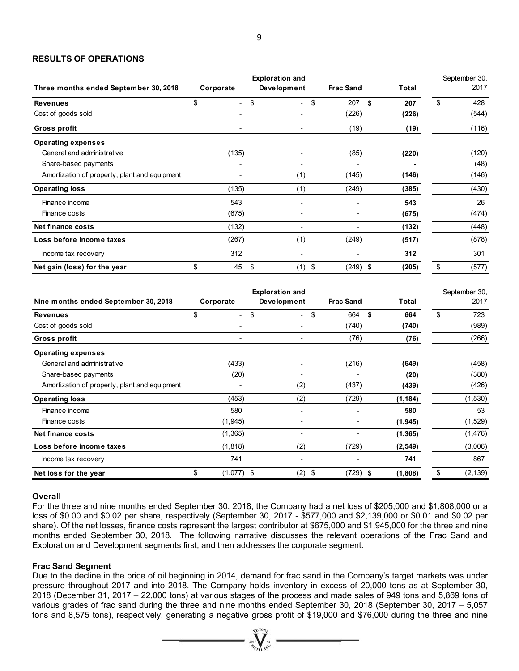#### **RESULTS OF OPERATIONS**

|                                               |               | <b>Exploration and</b> |                  |              | September 30,  |
|-----------------------------------------------|---------------|------------------------|------------------|--------------|----------------|
| Three months ended September 30, 2018         | Corporate     | Development            | <b>Frac Sand</b> | <b>Total</b> | 2017           |
| <b>Revenues</b>                               | \$            | \$<br>÷.               | \$<br>207        | \$<br>207    | \$<br>428      |
| Cost of goods sold                            |               |                        | (226)            | (226)        | (544)          |
| <b>Gross profit</b>                           | ä,            | $\blacksquare$         | (19)             | (19)         | (116)          |
| <b>Operating expenses</b>                     |               |                        |                  |              |                |
| General and administrative                    | (135)         |                        | (85)             | (220)        | (120)          |
| Share-based payments                          |               |                        |                  |              | (48)           |
| Amortization of property, plant and equipment |               | (1)                    | (145)            | (146)        | (146)          |
| <b>Operating loss</b>                         | (135)         | (1)                    | (249)            | (385)        | (430)          |
| Finance income                                | 543           |                        |                  | 543          | 26             |
| Finance costs                                 | (675)         |                        |                  | (675)        | (474)          |
| Net finance costs                             | (132)         | $\overline{a}$         |                  | (132)        | (448)          |
| Loss before income taxes                      | (267)         | (1)                    | (249)            | (517)        | (878)          |
| Income tax recovery                           | 312           | ä,                     |                  | 312          | 301            |
| Net gain (loss) for the year                  | \$<br>45      | \$<br>$(1)$ \$         | $(249)$ \$       | (205)        | \$<br>(577)    |
|                                               |               |                        |                  |              |                |
|                                               |               | <b>Exploration and</b> |                  |              | September 30,  |
| Nine months ended September 30, 2018          | Corporate     | Development            | <b>Frac Sand</b> | <b>Total</b> | 2017           |
| <b>Revenues</b>                               | \$            | \$                     | \$<br>664        | \$<br>664    | \$<br>723      |
| Cost of goods sold                            |               |                        | (740)            | (740)        | (989)          |
| Gross profit                                  | ä,            | ÷,                     | (76)             | (76)         | (266)          |
| <b>Operating expenses</b>                     |               |                        |                  |              |                |
| General and administrative                    | (433)         |                        | (216)            | (649)        | (458)          |
| Share-based payments                          | (20)          |                        |                  | (20)         | (380)          |
| Amortization of property, plant and equipment |               | (2)                    | (437)            | (439)        | (426)          |
| <b>Operating loss</b>                         | (453)         | (2)                    | (729)            | (1, 184)     | (1,530)        |
| Finance income                                | 580           | ä,                     |                  | 580          | 53             |
| Finance costs                                 | (1,945)       | $\blacksquare$         |                  | (1, 945)     | (1,529)        |
| Net finance costs                             | (1, 365)      | $\overline{a}$         |                  | (1, 365)     | (1, 476)       |
| Loss before income taxes                      | (1, 818)      | (2)                    | (729)            | (2, 549)     | (3,006)        |
| Income tax recovery                           | 741           | ä,                     | L,               | 741          | 867            |
| Net loss for the year                         | \$<br>(1,077) | \$<br>(2)              | \$<br>$(729)$ \$ | (1.808)      | \$<br>(2, 139) |

#### **Overall**

For the three and nine months ended September 30, 2018, the Company had a net loss of \$205,000 and \$1,808,000 or a loss of \$0.00 and \$0.02 per share, respectively (September 30, 2017 - \$577,000 and \$2,139,000 or \$0.01 and \$0.02 per share). Of the net losses, finance costs represent the largest contributor at \$675,000 and \$1,945,000 for the three and nine months ended September 30, 2018. The following narrative discusses the relevant operations of the Frac Sand and Exploration and Development segments first, and then addresses the corporate segment.

#### **Frac Sand Segment**

Due to the decline in the price of oil beginning in 2014, demand for frac sand in the Company's target markets was under pressure throughout 2017 and into 2018. The Company holds inventory in excess of 20,000 tons as at September 30, 2018 (December 31, 2017 – 22,000 tons) at various stages of the process and made sales of 949 tons and 5,869 tons of various grades of frac sand during the three and nine months ended September 30, 2018 (September 30, 2017 – 5,057 tons and 8,575 tons), respectively, generating a negative gross profit of \$19,000 and \$76,000 during the three and nine

 $\sum_{j_{\ell}\in I(\lambda)}^{j_{\ell}\in I(\lambda)}\sum_{j_{\ell}\in I(\lambda)}\;=\;$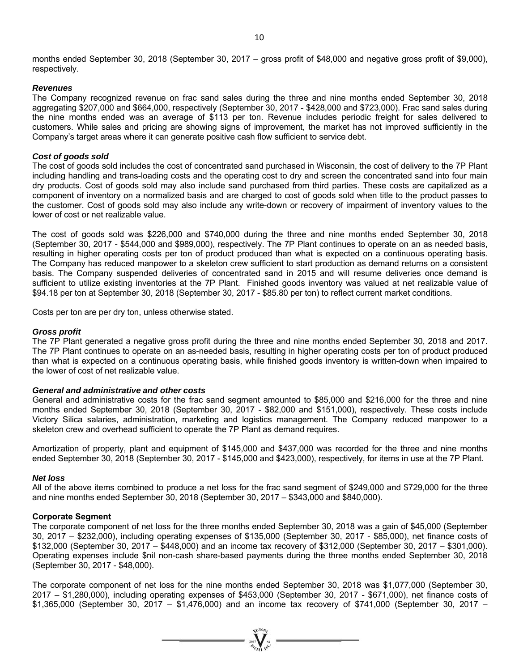months ended September 30, 2018 (September 30, 2017 – gross profit of \$48,000 and negative gross profit of \$9,000), respectively.

#### *Revenues*

The Company recognized revenue on frac sand sales during the three and nine months ended September 30, 2018 aggregating \$207,000 and \$664,000, respectively (September 30, 2017 - \$428,000 and \$723,000). Frac sand sales during the nine months ended was an average of \$113 per ton. Revenue includes periodic freight for sales delivered to customers. While sales and pricing are showing signs of improvement, the market has not improved sufficiently in the Company's target areas where it can generate positive cash flow sufficient to service debt.

#### *Cost of goods sold*

The cost of goods sold includes the cost of concentrated sand purchased in Wisconsin, the cost of delivery to the 7P Plant including handling and trans-loading costs and the operating cost to dry and screen the concentrated sand into four main dry products. Cost of goods sold may also include sand purchased from third parties. These costs are capitalized as a component of inventory on a normalized basis and are charged to cost of goods sold when title to the product passes to the customer. Cost of goods sold may also include any write-down or recovery of impairment of inventory values to the lower of cost or net realizable value.

The cost of goods sold was \$226,000 and \$740,000 during the three and nine months ended September 30, 2018 (September 30, 2017 - \$544,000 and \$989,000), respectively. The 7P Plant continues to operate on an as needed basis, resulting in higher operating costs per ton of product produced than what is expected on a continuous operating basis. The Company has reduced manpower to a skeleton crew sufficient to start production as demand returns on a consistent basis. The Company suspended deliveries of concentrated sand in 2015 and will resume deliveries once demand is sufficient to utilize existing inventories at the 7P Plant. Finished goods inventory was valued at net realizable value of \$94.18 per ton at September 30, 2018 (September 30, 2017 - \$85.80 per ton) to reflect current market conditions.

Costs per ton are per dry ton, unless otherwise stated.

#### *Gross profit*

The 7P Plant generated a negative gross profit during the three and nine months ended September 30, 2018 and 2017. The 7P Plant continues to operate on an as-needed basis, resulting in higher operating costs per ton of product produced than what is expected on a continuous operating basis, while finished goods inventory is written-down when impaired to the lower of cost of net realizable value.

#### *General and administrative and other costs*

General and administrative costs for the frac sand segment amounted to \$85,000 and \$216,000 for the three and nine months ended September 30, 2018 (September 30, 2017 - \$82,000 and \$151,000), respectively. These costs include Victory Silica salaries, administration, marketing and logistics management. The Company reduced manpower to a skeleton crew and overhead sufficient to operate the 7P Plant as demand requires.

Amortization of property, plant and equipment of \$145,000 and \$437,000 was recorded for the three and nine months ended September 30, 2018 (September 30, 2017 - \$145,000 and \$423,000), respectively, for items in use at the 7P Plant.

#### *Net loss*

All of the above items combined to produce a net loss for the frac sand segment of \$249,000 and \$729,000 for the three and nine months ended September 30, 2018 (September 30, 2017 – \$343,000 and \$840,000).

#### **Corporate Segment**

The corporate component of net loss for the three months ended September 30, 2018 was a gain of \$45,000 (September 30, 2017 – \$232,000), including operating expenses of \$135,000 (September 30, 2017 - \$85,000), net finance costs of \$132,000 (September 30, 2017 – \$448,000) and an income tax recovery of \$312,000 (September 30, 2017 – \$301,000). Operating expenses include \$nil non-cash share-based payments during the three months ended September 30, 2018 (September 30, 2017 - \$48,000).

The corporate component of net loss for the nine months ended September 30, 2018 was \$1,077,000 (September 30, 2017 – \$1,280,000), including operating expenses of \$453,000 (September 30, 2017 - \$671,000), net finance costs of \$1,365,000 (September 30, 2017 – \$1,476,000) and an income tax recovery of \$741,000 (September 30, 2017 –

=  $\sum_{n=1}^{\infty} \sum_{n=1}^{\infty} n^n$  =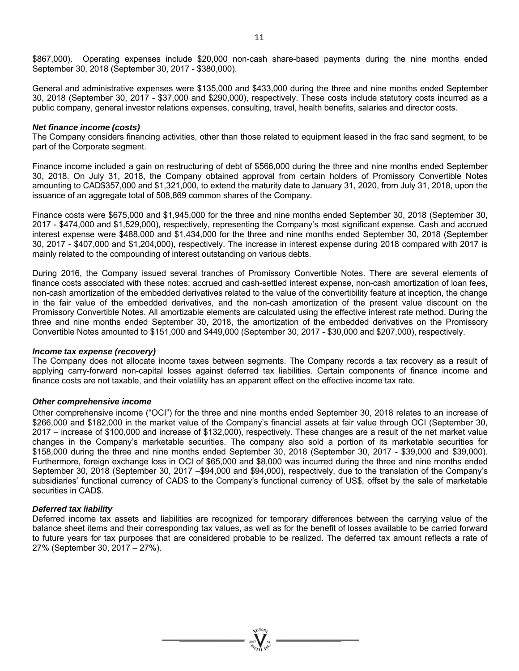\$867,000). Operating expenses include \$20,000 non-cash share-based payments during the nine months ended September 30, 2018 (September 30, 2017 - \$380,000).

General and administrative expenses were \$135,000 and \$433,000 during the three and nine months ended September 30, 2018 (September 30, 2017 - \$37,000 and \$290,000), respectively. These costs include statutory costs incurred as a public company, general investor relations expenses, consulting, travel, health benefits, salaries and director costs.

#### *Net finance income (costs)*

The Company considers financing activities, other than those related to equipment leased in the frac sand segment, to be part of the Corporate segment.

Finance income included a gain on restructuring of debt of \$566,000 during the three and nine months ended September 30, 2018. On July 31, 2018, the Company obtained approval from certain holders of Promissory Convertible Notes amounting to CAD\$357,000 and \$1,321,000, to extend the maturity date to January 31, 2020, from July 31, 2018, upon the issuance of an aggregate total of 508,869 common shares of the Company.

Finance costs were \$675,000 and \$1,945,000 for the three and nine months ended September 30, 2018 (September 30, 2017 - \$474,000 and \$1,529,000), respectively, representing the Company's most significant expense. Cash and accrued interest expense were \$488,000 and \$1,434,000 for the three and nine months ended September 30, 2018 (September 30, 2017 - \$407,000 and \$1,204,000), respectively. The increase in interest expense during 2018 compared with 2017 is mainly related to the compounding of interest outstanding on various debts.

During 2016, the Company issued several tranches of Promissory Convertible Notes. There are several elements of finance costs associated with these notes: accrued and cash-settled interest expense, non-cash amortization of loan fees, non-cash amortization of the embedded derivatives related to the value of the convertibility feature at inception, the change in the fair value of the embedded derivatives, and the non-cash amortization of the present value discount on the Promissory Convertible Notes. All amortizable elements are calculated using the effective interest rate method. During the three and nine months ended September 30, 2018, the amortization of the embedded derivatives on the Promissory Convertible Notes amounted to \$151,000 and \$449,000 (September 30, 2017 - \$30,000 and \$207,000), respectively.

#### *Income tax expense (recovery)*

The Company does not allocate income taxes between segments. The Company records a tax recovery as a result of applying carry-forward non-capital losses against deferred tax liabilities. Certain components of finance income and finance costs are not taxable, and their volatility has an apparent effect on the effective income tax rate.

#### *Other comprehensive income*

Other comprehensive income ("OCI") for the three and nine months ended September 30, 2018 relates to an increase of \$266,000 and \$182,000 in the market value of the Company's financial assets at fair value through OCI (September 30, 2017 – increase of \$100,000 and increase of \$132,000), respectively. These changes are a result of the net market value changes in the Company's marketable securities. The company also sold a portion of its marketable securities for \$158,000 during the three and nine months ended September 30, 2018 (September 30, 2017 - \$39,000 and \$39,000). Furthermore, foreign exchange loss in OCI of \$65,000 and \$8,000 was incurred during the three and nine months ended September 30, 2018 (September 30, 2017 –\$94,000 and \$94,000), respectively, due to the translation of the Company's subsidiaries' functional currency of CAD\$ to the Company's functional currency of US\$, offset by the sale of marketable securities in CAD\$.

#### *Deferred tax liability*

Deferred income tax assets and liabilities are recognized for temporary differences between the carrying value of the balance sheet items and their corresponding tax values, as well as for the benefit of losses available to be carried forward to future years for tax purposes that are considered probable to be realized. The deferred tax amount reflects a rate of 27% (September 30, 2017 – 27%).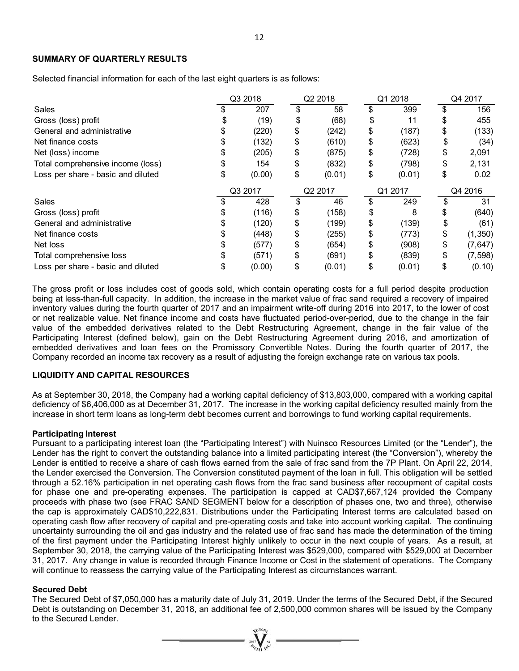#### **SUMMARY OF QUARTERLY RESULTS**

Selected financial information for each of the last eight quarters is as follows:

|                                    | Q3 2018 |         | Q2 2018 |         | Q1 2018 |         | Q4 2017 |          |  |
|------------------------------------|---------|---------|---------|---------|---------|---------|---------|----------|--|
| Sales                              |         | 207     |         | 58      | \$      | 399     | \$      | 156      |  |
| Gross (loss) profit                |         | (19)    | \$      | (68)    | \$      | 11      | \$      | 455      |  |
| General and administrative         |         | (220)   | \$      | (242)   | \$      | (187)   | \$      | (133)    |  |
| Net finance costs                  |         | (132)   | \$      | (610)   | \$      | (623)   | \$      | (34)     |  |
| Net (loss) income                  |         | (205)   | \$      | (875)   | \$      | (728)   | \$      | 2,091    |  |
| Total comprehensive income (loss)  | \$      | 154     | \$      | (832)   | \$      | (798)   | \$      | 2,131    |  |
| Loss per share - basic and diluted | \$      | (0.00)  | \$      | (0.01)  | \$      | (0.01)  | \$      | 0.02     |  |
|                                    |         | Q3 2017 |         | Q2 2017 |         | Q1 2017 |         | Q4 2016  |  |
| Sales                              |         | 428     | \$      | 46      | \$      | 249     | \$      | 31       |  |
| Gross (loss) profit                |         | (116)   | \$      | (158)   | \$      | 8       | \$      | (640)    |  |
| General and administrative         |         | (120)   | \$      | (199)   | \$      | (139)   | \$      | (61)     |  |
| Net finance costs                  |         | (448)   | \$      | (255)   | \$      | (773)   | \$      | (1, 350) |  |
| Net loss                           |         | (577)   | \$      | (654)   | \$      | (908)   | \$      | (7,647)  |  |
| Total comprehensive loss           |         | (571)   | \$      | (691)   | \$      | (839)   | \$      | (7, 598) |  |
| Loss per share - basic and diluted |         | (0.00)  | \$      | (0.01)  | \$      | (0.01)  | \$      | (0.10)   |  |

The gross profit or loss includes cost of goods sold, which contain operating costs for a full period despite production being at less-than-full capacity. In addition, the increase in the market value of frac sand required a recovery of impaired inventory values during the fourth quarter of 2017 and an impairment write-off during 2016 into 2017, to the lower of cost or net realizable value. Net finance income and costs have fluctuated period-over-period, due to the change in the fair value of the embedded derivatives related to the Debt Restructuring Agreement, change in the fair value of the Participating Interest (defined below), gain on the Debt Restructuring Agreement during 2016, and amortization of embedded derivatives and loan fees on the Promissory Convertible Notes. During the fourth quarter of 2017, the Company recorded an income tax recovery as a result of adjusting the foreign exchange rate on various tax pools.

#### **LIQUIDITY AND CAPITAL RESOURCES**

As at September 30, 2018, the Company had a working capital deficiency of \$13,803,000, compared with a working capital deficiency of \$6,406,000 as at December 31, 2017. The increase in the working capital deficiency resulted mainly from the increase in short term loans as long-term debt becomes current and borrowings to fund working capital requirements.

#### **Participating Interest**

Pursuant to a participating interest loan (the "Participating Interest") with Nuinsco Resources Limited (or the "Lender"), the Lender has the right to convert the outstanding balance into a limited participating interest (the "Conversion"), whereby the Lender is entitled to receive a share of cash flows earned from the sale of frac sand from the 7P Plant. On April 22, 2014, the Lender exercised the Conversion. The Conversion constituted payment of the loan in full. This obligation will be settled through a 52.16% participation in net operating cash flows from the frac sand business after recoupment of capital costs for phase one and pre-operating expenses. The participation is capped at CAD\$7,667,124 provided the Company proceeds with phase two (see FRAC SAND SEGMENT below for a description of phases one, two and three), otherwise the cap is approximately CAD\$10,222,831. Distributions under the Participating Interest terms are calculated based on operating cash flow after recovery of capital and pre-operating costs and take into account working capital. The continuing uncertainty surrounding the oil and gas industry and the related use of frac sand has made the determination of the timing of the first payment under the Participating Interest highly unlikely to occur in the next couple of years. As a result, at September 30, 2018, the carrying value of the Participating Interest was \$529,000, compared with \$529,000 at December 31, 2017. Any change in value is recorded through Finance Income or Cost in the statement of operations. The Company will continue to reassess the carrying value of the Participating Interest as circumstances warrant.

#### **Secured Debt**

The Secured Debt of \$7,050,000 has a maturity date of July 31, 2019. Under the terms of the Secured Debt, if the Secured Debt is outstanding on December 31, 2018, an additional fee of 2,500,000 common shares will be issued by the Company to the Secured Lender.

 $\sum_{\alpha}$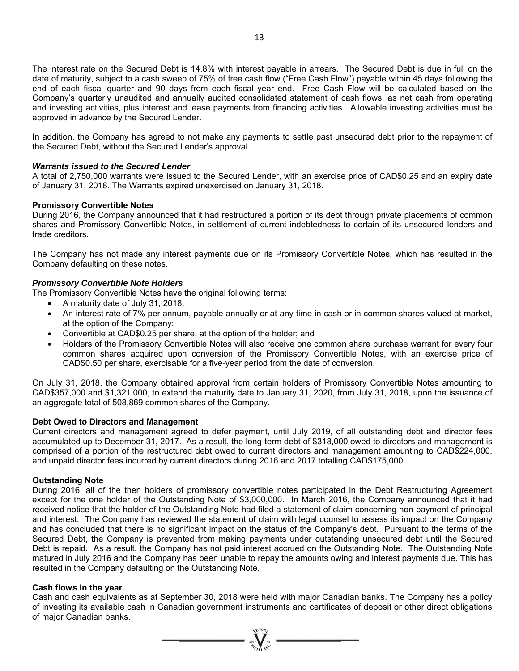The interest rate on the Secured Debt is 14.8% with interest payable in arrears. The Secured Debt is due in full on the date of maturity, subject to a cash sweep of 75% of free cash flow ("Free Cash Flow") payable within 45 days following the end of each fiscal quarter and 90 days from each fiscal year end. Free Cash Flow will be calculated based on the Company's quarterly unaudited and annually audited consolidated statement of cash flows, as net cash from operating and investing activities, plus interest and lease payments from financing activities. Allowable investing activities must be approved in advance by the Secured Lender.

In addition, the Company has agreed to not make any payments to settle past unsecured debt prior to the repayment of the Secured Debt, without the Secured Lender's approval.

#### *Warrants issued to the Secured Lender*

A total of 2,750,000 warrants were issued to the Secured Lender, with an exercise price of CAD\$0.25 and an expiry date of January 31, 2018. The Warrants expired unexercised on January 31, 2018.

#### **Promissory Convertible Notes**

During 2016, the Company announced that it had restructured a portion of its debt through private placements of common shares and Promissory Convertible Notes, in settlement of current indebtedness to certain of its unsecured lenders and trade creditors.

The Company has not made any interest payments due on its Promissory Convertible Notes, which has resulted in the Company defaulting on these notes.

#### *Promissory Convertible Note Holders*

The Promissory Convertible Notes have the original following terms:

- A maturity date of July 31, 2018;
- An interest rate of 7% per annum, payable annually or at any time in cash or in common shares valued at market, at the option of the Company;
- Convertible at CAD\$0.25 per share, at the option of the holder; and
- Holders of the Promissory Convertible Notes will also receive one common share purchase warrant for every four common shares acquired upon conversion of the Promissory Convertible Notes, with an exercise price of CAD\$0.50 per share, exercisable for a five-year period from the date of conversion.

On July 31, 2018, the Company obtained approval from certain holders of Promissory Convertible Notes amounting to CAD\$357,000 and \$1,321,000, to extend the maturity date to January 31, 2020, from July 31, 2018, upon the issuance of an aggregate total of 508,869 common shares of the Company.

#### **Debt Owed to Directors and Management**

Current directors and management agreed to defer payment, until July 2019, of all outstanding debt and director fees accumulated up to December 31, 2017. As a result, the long-term debt of \$318,000 owed to directors and management is comprised of a portion of the restructured debt owed to current directors and management amounting to CAD\$224,000, and unpaid director fees incurred by current directors during 2016 and 2017 totalling CAD\$175,000.

#### **Outstanding Note**

During 2016, all of the then holders of promissory convertible notes participated in the Debt Restructuring Agreement except for the one holder of the Outstanding Note of \$3,000,000. In March 2016, the Company announced that it had received notice that the holder of the Outstanding Note had filed a statement of claim concerning non-payment of principal and interest. The Company has reviewed the statement of claim with legal counsel to assess its impact on the Company and has concluded that there is no significant impact on the status of the Company's debt. Pursuant to the terms of the Secured Debt, the Company is prevented from making payments under outstanding unsecured debt until the Secured Debt is repaid. As a result, the Company has not paid interest accrued on the Outstanding Note. The Outstanding Note matured in July 2016 and the Company has been unable to repay the amounts owing and interest payments due. This has resulted in the Company defaulting on the Outstanding Note.

#### **Cash flows in the year**

Cash and cash equivalents as at September 30, 2018 were held with major Canadian banks. The Company has a policy of investing its available cash in Canadian government instruments and certificates of deposit or other direct obligations of major Canadian banks.

 $= \sum_{\substack{i=1\\ \text{odd }i}}^{\text{odd }i}$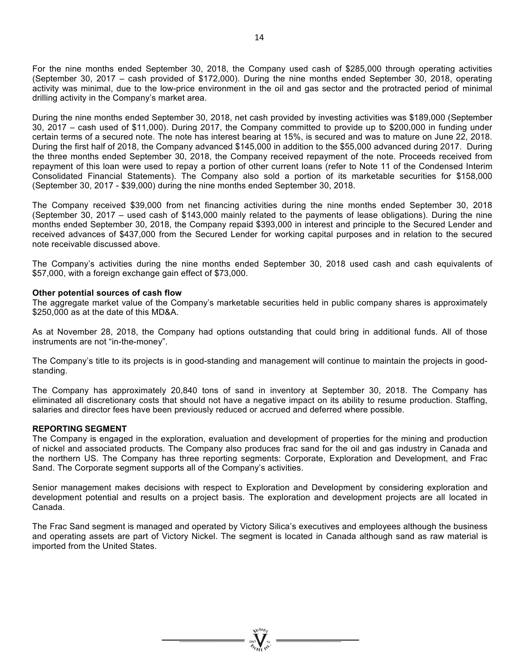For the nine months ended September 30, 2018, the Company used cash of \$285,000 through operating activities (September 30, 2017 – cash provided of \$172,000). During the nine months ended September 30, 2018, operating activity was minimal, due to the low-price environment in the oil and gas sector and the protracted period of minimal drilling activity in the Company's market area.

During the nine months ended September 30, 2018, net cash provided by investing activities was \$189,000 (September 30, 2017 – cash used of \$11,000). During 2017, the Company committed to provide up to \$200,000 in funding under certain terms of a secured note. The note has interest bearing at 15%, is secured and was to mature on June 22, 2018. During the first half of 2018, the Company advanced \$145,000 in addition to the \$55,000 advanced during 2017. During the three months ended September 30, 2018, the Company received repayment of the note. Proceeds received from repayment of this loan were used to repay a portion of other current loans (refer to Note 11 of the Condensed Interim Consolidated Financial Statements). The Company also sold a portion of its marketable securities for \$158,000 (September 30, 2017 - \$39,000) during the nine months ended September 30, 2018.

The Company received \$39,000 from net financing activities during the nine months ended September 30, 2018 (September 30, 2017 – used cash of \$143,000 mainly related to the payments of lease obligations). During the nine months ended September 30, 2018, the Company repaid \$393,000 in interest and principle to the Secured Lender and received advances of \$437,000 from the Secured Lender for working capital purposes and in relation to the secured note receivable discussed above.

The Company's activities during the nine months ended September 30, 2018 used cash and cash equivalents of \$57,000, with a foreign exchange gain effect of \$73,000.

#### **Other potential sources of cash flow**

The aggregate market value of the Company's marketable securities held in public company shares is approximately \$250,000 as at the date of this MD&A.

As at November 28, 2018, the Company had options outstanding that could bring in additional funds. All of those instruments are not "in-the-money".

The Company's title to its projects is in good-standing and management will continue to maintain the projects in goodstanding.

The Company has approximately 20,840 tons of sand in inventory at September 30, 2018. The Company has eliminated all discretionary costs that should not have a negative impact on its ability to resume production. Staffing, salaries and director fees have been previously reduced or accrued and deferred where possible.

#### **REPORTING SEGMENT**

The Company is engaged in the exploration, evaluation and development of properties for the mining and production of nickel and associated products. The Company also produces frac sand for the oil and gas industry in Canada and the northern US. The Company has three reporting segments: Corporate, Exploration and Development, and Frac Sand. The Corporate segment supports all of the Company's activities.

Senior management makes decisions with respect to Exploration and Development by considering exploration and development potential and results on a project basis. The exploration and development projects are all located in Canada.

The Frac Sand segment is managed and operated by Victory Silica's executives and employees although the business and operating assets are part of Victory Nickel. The segment is located in Canada although sand as raw material is imported from the United States.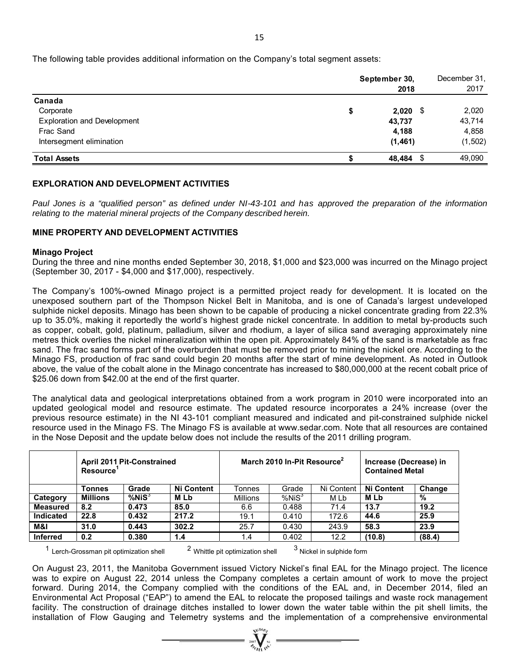|                                    | September 30,<br>2018 | December 31,<br>2017 |
|------------------------------------|-----------------------|----------------------|
| Canada                             |                       |                      |
| Corporate                          | \$<br>$2,020$ \$      | 2,020                |
| <b>Exploration and Development</b> | 43,737                | 43,714               |
| Frac Sand                          | 4,188                 | 4,858                |
| Intersegment elimination           | (1, 461)              | (1, 502)             |
| <b>Total Assets</b>                | 48,484 \$             | 49,090               |

## **EXPLORATION AND DEVELOPMENT ACTIVITIES**

*Paul Jones is a "qualified person" as defined under NI-43-101 and has approved the preparation of the information relating to the material mineral projects of the Company described herein.* 

### **MINE PROPERTY AND DEVELOPMENT ACTIVITIES**

#### **Minago Project**

During the three and nine months ended September 30, 2018, \$1,000 and \$23,000 was incurred on the Minago project (September 30, 2017 - \$4,000 and \$17,000), respectively.

The Company's 100%-owned Minago project is a permitted project ready for development. It is located on the unexposed southern part of the Thompson Nickel Belt in Manitoba, and is one of Canada's largest undeveloped sulphide nickel deposits. Minago has been shown to be capable of producing a nickel concentrate grading from 22.3% up to 35.0%, making it reportedly the world's highest grade nickel concentrate. In addition to metal by-products such as copper, cobalt, gold, platinum, palladium, silver and rhodium, a layer of silica sand averaging approximately nine metres thick overlies the nickel mineralization within the open pit. Approximately 84% of the sand is marketable as frac sand. The frac sand forms part of the overburden that must be removed prior to mining the nickel ore. According to the Minago FS, production of frac sand could begin 20 months after the start of mine development. As noted in Outlook above, the value of the cobalt alone in the Minago concentrate has increased to \$80,000,000 at the recent cobalt price of \$25.06 down from \$42.00 at the end of the first quarter.

The analytical data and geological interpretations obtained from a work program in 2010 were incorporated into an updated geological model and resource estimate. The updated resource incorporates a 24% increase (over the previous resource estimate) in the NI 43-101 compliant measured and indicated and pit-constrained sulphide nickel resource used in the Minago FS. The Minago FS is available at www.sedar.com. Note that all resources are contained in the Nose Deposit and the update below does not include the results of the 2011 drilling program.

|                  | April 2011 Pit-Constrained<br><b>Resource</b> |             |                   |                 | March 2010 In-Pit Resource <sup>2</sup> | Increase (Decrease) in<br><b>Contained Metal</b> |                   |        |
|------------------|-----------------------------------------------|-------------|-------------------|-----------------|-----------------------------------------|--------------------------------------------------|-------------------|--------|
|                  | Tonnes                                        | Grade       | <b>Ni Content</b> | Tonnes          | Grade                                   | Ni Content                                       | <b>Ni Content</b> | Change |
| Category         | <b>Millions</b>                               | $%$ Ni $S3$ | M Lb              | <b>Millions</b> | %NiS <sup>3</sup>                       | M Lb                                             | M Lb              | %      |
| <b>Measured</b>  | 8.2                                           | 0.473       | 85.0              | 6.6             | 0.488                                   | 71.4                                             | 13.7              | 19.2   |
| <b>Indicated</b> | 22.8                                          | 0.432       | 217.2             | 19.1            | 0.410                                   | 172.6                                            | 44.6              | 25.9   |
| <b>M&amp;I</b>   | 31.0                                          | 0.443       | 302.2             | 25.7            | 0.430                                   | 243.9                                            | 58.3              | 23.9   |
| <b>Inferred</b>  | 0.2                                           | 0.380       | 1.4               | 1.4             | 0.402                                   | 12.2                                             | (10.8)            | (88.4) |

 $1$  Lerch-Grossman pit optimization shell  $2$  Whittle pit optimization shell  $3$  Nickel in sulphide form

On August 23, 2011, the Manitoba Government issued Victory Nickel's final EAL for the Minago project. The licence was to expire on August 22, 2014 unless the Company completes a certain amount of work to move the project forward. During 2014, the Company complied with the conditions of the EAL and, in December 2014, filed an Environmental Act Proposal ("EAP") to amend the EAL to relocate the proposed tailings and waste rock management facility. The construction of drainage ditches installed to lower down the water table within the pit shell limits, the installation of Flow Gauging and Telemetry systems and the implementation of a comprehensive environmental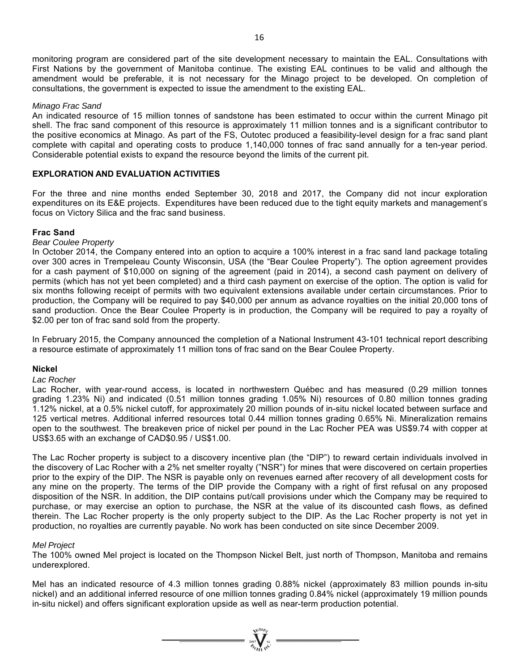monitoring program are considered part of the site development necessary to maintain the EAL. Consultations with First Nations by the government of Manitoba continue. The existing EAL continues to be valid and although the amendment would be preferable, it is not necessary for the Minago project to be developed. On completion of consultations, the government is expected to issue the amendment to the existing EAL.

#### *Minago Frac Sand*

An indicated resource of 15 million tonnes of sandstone has been estimated to occur within the current Minago pit shell. The frac sand component of this resource is approximately 11 million tonnes and is a significant contributor to the positive economics at Minago. As part of the FS, Outotec produced a feasibility-level design for a frac sand plant complete with capital and operating costs to produce 1,140,000 tonnes of frac sand annually for a ten-year period. Considerable potential exists to expand the resource beyond the limits of the current pit.

#### **EXPLORATION AND EVALUATION ACTIVITIES**

For the three and nine months ended September 30, 2018 and 2017, the Company did not incur exploration expenditures on its E&E projects. Expenditures have been reduced due to the tight equity markets and management's focus on Victory Silica and the frac sand business.

#### **Frac Sand**

## *Bear Coulee Property*

In October 2014, the Company entered into an option to acquire a 100% interest in a frac sand land package totaling over 300 acres in Trempeleau County Wisconsin, USA (the "Bear Coulee Property"). The option agreement provides for a cash payment of \$10,000 on signing of the agreement (paid in 2014), a second cash payment on delivery of permits (which has not yet been completed) and a third cash payment on exercise of the option. The option is valid for six months following receipt of permits with two equivalent extensions available under certain circumstances. Prior to production, the Company will be required to pay \$40,000 per annum as advance royalties on the initial 20,000 tons of sand production. Once the Bear Coulee Property is in production, the Company will be required to pay a royalty of \$2.00 per ton of frac sand sold from the property.

In February 2015, the Company announced the completion of a National Instrument 43-101 technical report describing a resource estimate of approximately 11 million tons of frac sand on the Bear Coulee Property.

#### **Nickel**

#### *Lac Rocher*

Lac Rocher, with year-round access, is located in northwestern Québec and has measured (0.29 million tonnes grading 1.23% Ni) and indicated (0.51 million tonnes grading 1.05% Ni) resources of 0.80 million tonnes grading 1.12% nickel, at a 0.5% nickel cutoff, for approximately 20 million pounds of in-situ nickel located between surface and 125 vertical metres. Additional inferred resources total 0.44 million tonnes grading 0.65% Ni. Mineralization remains open to the southwest. The breakeven price of nickel per pound in the Lac Rocher PEA was US\$9.74 with copper at US\$3.65 with an exchange of CAD\$0.95 / US\$1.00.

The Lac Rocher property is subject to a discovery incentive plan (the "DIP") to reward certain individuals involved in the discovery of Lac Rocher with a 2% net smelter royalty ("NSR") for mines that were discovered on certain properties prior to the expiry of the DIP. The NSR is payable only on revenues earned after recovery of all development costs for any mine on the property. The terms of the DIP provide the Company with a right of first refusal on any proposed disposition of the NSR. In addition, the DIP contains put/call provisions under which the Company may be required to purchase, or may exercise an option to purchase, the NSR at the value of its discounted cash flows, as defined therein. The Lac Rocher property is the only property subject to the DIP. As the Lac Rocher property is not yet in production, no royalties are currently payable. No work has been conducted on site since December 2009.

#### *Mel Project*

The 100% owned Mel project is located on the Thompson Nickel Belt, just north of Thompson, Manitoba and remains underexplored.

Mel has an indicated resource of 4.3 million tonnes grading 0.88% nickel (approximately 83 million pounds in-situ nickel) and an additional inferred resource of one million tonnes grading 0.84% nickel (approximately 19 million pounds in-situ nickel) and offers significant exploration upside as well as near-term production potential.

 $\sum_{\alpha}$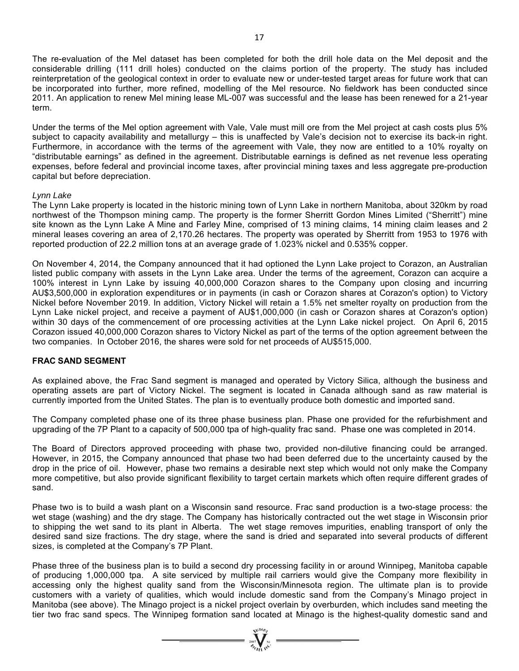The re-evaluation of the Mel dataset has been completed for both the drill hole data on the Mel deposit and the considerable drilling (111 drill holes) conducted on the claims portion of the property. The study has included reinterpretation of the geological context in order to evaluate new or under-tested target areas for future work that can be incorporated into further, more refined, modelling of the Mel resource. No fieldwork has been conducted since 2011. An application to renew Mel mining lease ML-007 was successful and the lease has been renewed for a 21-year term.

Under the terms of the Mel option agreement with Vale, Vale must mill ore from the Mel project at cash costs plus 5% subject to capacity availability and metallurgy – this is unaffected by Vale's decision not to exercise its back-in right. Furthermore, in accordance with the terms of the agreement with Vale, they now are entitled to a 10% royalty on "distributable earnings" as defined in the agreement. Distributable earnings is defined as net revenue less operating expenses, before federal and provincial income taxes, after provincial mining taxes and less aggregate pre-production capital but before depreciation.

#### *Lynn Lake*

The Lynn Lake property is located in the historic mining town of Lynn Lake in northern Manitoba, about 320km by road northwest of the Thompson mining camp. The property is the former Sherritt Gordon Mines Limited ("Sherritt") mine site known as the Lynn Lake A Mine and Farley Mine, comprised of 13 mining claims, 14 mining claim leases and 2 mineral leases covering an area of 2,170.26 hectares. The property was operated by Sherritt from 1953 to 1976 with reported production of 22.2 million tons at an average grade of 1.023% nickel and 0.535% copper.

On November 4, 2014, the Company announced that it had optioned the Lynn Lake project to Corazon, an Australian listed public company with assets in the Lynn Lake area. Under the terms of the agreement, Corazon can acquire a 100% interest in Lynn Lake by issuing 40,000,000 Corazon shares to the Company upon closing and incurring AU\$3,500,000 in exploration expenditures or in payments (in cash or Corazon shares at Corazon's option) to Victory Nickel before November 2019. In addition, Victory Nickel will retain a 1.5% net smelter royalty on production from the Lynn Lake nickel project, and receive a payment of AU\$1,000,000 (in cash or Corazon shares at Corazon's option) within 30 days of the commencement of ore processing activities at the Lynn Lake nickel project. On April 6, 2015 Corazon issued 40,000,000 Corazon shares to Victory Nickel as part of the terms of the option agreement between the two companies. In October 2016, the shares were sold for net proceeds of AU\$515,000.

#### **FRAC SAND SEGMENT**

As explained above, the Frac Sand segment is managed and operated by Victory Silica, although the business and operating assets are part of Victory Nickel. The segment is located in Canada although sand as raw material is currently imported from the United States. The plan is to eventually produce both domestic and imported sand.

The Company completed phase one of its three phase business plan. Phase one provided for the refurbishment and upgrading of the 7P Plant to a capacity of 500,000 tpa of high-quality frac sand. Phase one was completed in 2014.

The Board of Directors approved proceeding with phase two, provided non-dilutive financing could be arranged. However, in 2015, the Company announced that phase two had been deferred due to the uncertainty caused by the drop in the price of oil. However, phase two remains a desirable next step which would not only make the Company more competitive, but also provide significant flexibility to target certain markets which often require different grades of sand.

Phase two is to build a wash plant on a Wisconsin sand resource. Frac sand production is a two-stage process: the wet stage (washing) and the dry stage. The Company has historically contracted out the wet stage in Wisconsin prior to shipping the wet sand to its plant in Alberta. The wet stage removes impurities, enabling transport of only the desired sand size fractions. The dry stage, where the sand is dried and separated into several products of different sizes, is completed at the Company's 7P Plant.

Phase three of the business plan is to build a second dry processing facility in or around Winnipeg, Manitoba capable of producing 1,000,000 tpa. A site serviced by multiple rail carriers would give the Company more flexibility in accessing only the highest quality sand from the Wisconsin/Minnesota region. The ultimate plan is to provide customers with a variety of qualities, which would include domestic sand from the Company's Minago project in Manitoba (see above). The Minago project is a nickel project overlain by overburden, which includes sand meeting the tier two frac sand specs. The Winnipeg formation sand located at Minago is the highest-quality domestic sand and

 $\sum_{n=1}^{\infty} \sum_{n=1}^{\infty} \frac{1}{n^2}$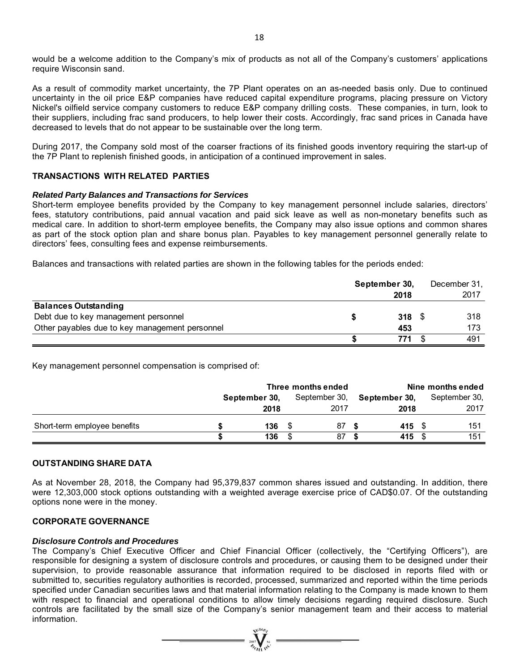would be a welcome addition to the Company's mix of products as not all of the Company's customers' applications require Wisconsin sand.

As a result of commodity market uncertainty, the 7P Plant operates on an as-needed basis only. Due to continued uncertainty in the oil price E&P companies have reduced capital expenditure programs, placing pressure on Victory Nickel's oilfield service company customers to reduce E&P company drilling costs. These companies, in turn, look to their suppliers, including frac sand producers, to help lower their costs. Accordingly, frac sand prices in Canada have decreased to levels that do not appear to be sustainable over the long term.

During 2017, the Company sold most of the coarser fractions of its finished goods inventory requiring the start-up of the 7P Plant to replenish finished goods, in anticipation of a continued improvement in sales.

### **TRANSACTIONS WITH RELATED PARTIES**

#### *Related Party Balances and Transactions for Services*

Short-term employee benefits provided by the Company to key management personnel include salaries, directors' fees, statutory contributions, paid annual vacation and paid sick leave as well as non-monetary benefits such as medical care. In addition to short-term employee benefits, the Company may also issue options and common shares as part of the stock option plan and share bonus plan. Payables to key management personnel generally relate to directors' fees, consulting fees and expense reimbursements.

Balances and transactions with related parties are shown in the following tables for the periods ended:

|                                                | September 30, | December 31, |
|------------------------------------------------|---------------|--------------|
|                                                | 2018          | 2017         |
| <b>Balances Outstanding</b>                    |               |              |
| Debt due to key management personnel           | 318           | 318          |
| Other payables due to key management personnel | 453           | 173          |
|                                                | 771           | 491          |

Key management personnel compensation is comprised of:

|                              | Three months ended |      |  |               | Nine months ended |               |  |               |
|------------------------------|--------------------|------|--|---------------|-------------------|---------------|--|---------------|
|                              | September 30,      |      |  | September 30, |                   | September 30, |  | September 30, |
|                              |                    | 2018 |  | 2017          |                   | 2018          |  | 2017          |
| Short-term employee benefits |                    | 136  |  | 87            |                   | 415           |  | 151           |
|                              |                    | 136  |  | 87            |                   | 415           |  | 151           |

#### **OUTSTANDING SHARE DATA**

As at November 28, 2018, the Company had 95,379,837 common shares issued and outstanding. In addition, there were 12,303,000 stock options outstanding with a weighted average exercise price of CAD\$0.07. Of the outstanding options none were in the money.

### **CORPORATE GOVERNANCE**

#### *Disclosure Controls and Procedures*

The Company's Chief Executive Officer and Chief Financial Officer (collectively, the "Certifying Officers"), are responsible for designing a system of disclosure controls and procedures, or causing them to be designed under their supervision, to provide reasonable assurance that information required to be disclosed in reports filed with or submitted to, securities regulatory authorities is recorded, processed, summarized and reported within the time periods specified under Canadian securities laws and that material information relating to the Company is made known to them with respect to financial and operational conditions to allow timely decisions regarding required disclosure. Such controls are facilitated by the small size of the Company's senior management team and their access to material information.

 $= \prod_{i=1}^{N} \sum_{j=1}^{N}$